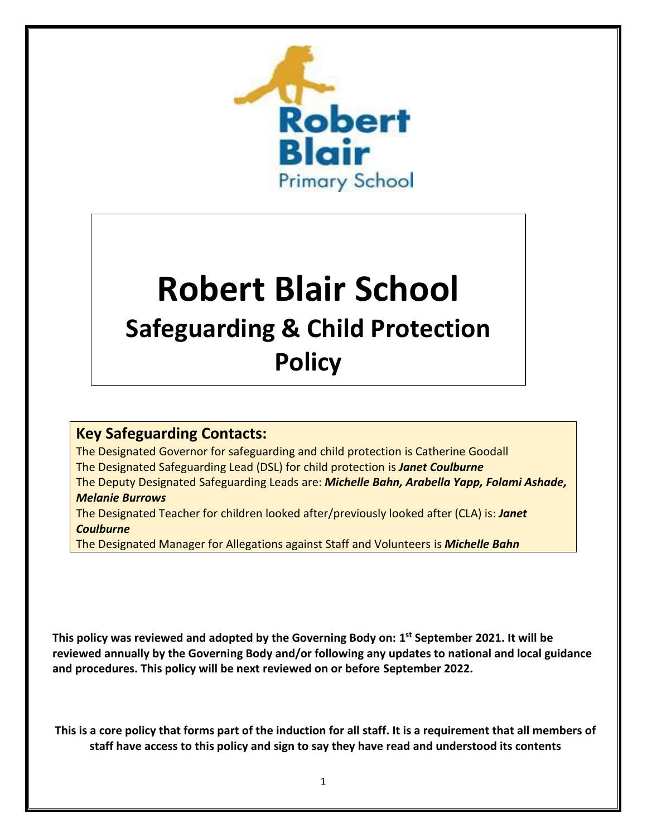

# **Robert Blair School Safeguarding & Child Protection Policy**

### **Key Safeguarding Contacts:**

The Designated Governor for safeguarding and child protection is Catherine Goodall The Designated Safeguarding Lead (DSL) for child protection is *Janet Coulburne* ……………………… School The Deputy Designated Safeguarding Leads are: **Michelle Bahn, Arabella Yapp, Folami Ashade,**<br><mark>Melanie Burrows</mark> *Melanie Burrows* The Designated Teacher for children looked after/previously looked after (CLA) is: *Janet*

#### *Coulburne*

The Designated Manager for Allegations against Staff and Volunteers is *Michelle Bahn*

This policy was reviewed and adopted by the Governing Body on: 1<sup>st</sup> September 2021. It will be **reviewed annually by the Governing Body and/or following any updates to national and local guidance and procedures. This policy will be next reviewed on or before September 2022.**

**This is a core policy that forms part of the induction for all staff. It is a requirement that all members of**  ……………………… School staff have access to this policy and sign to say they have read and understood its contents<br>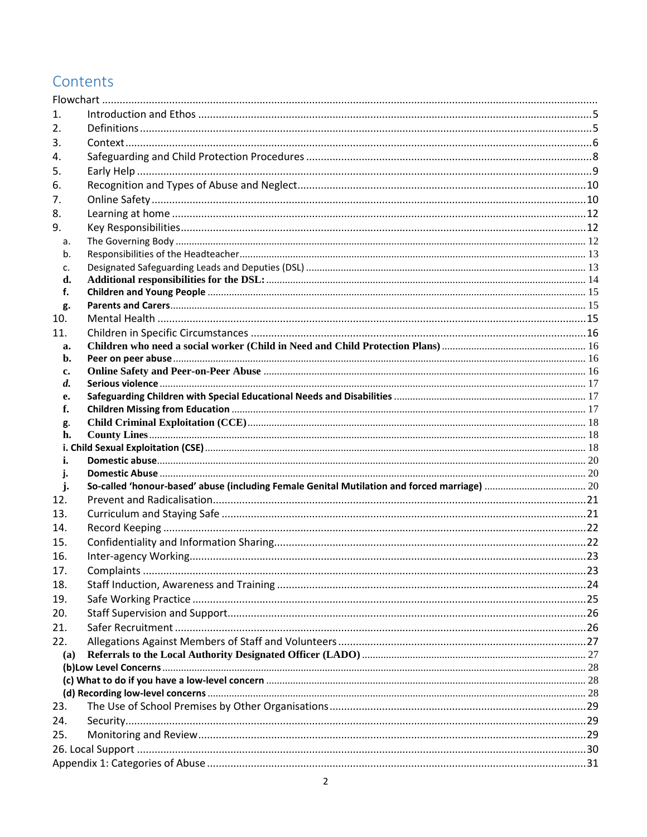## Contents

| 1.                 |                                                                                              |  |
|--------------------|----------------------------------------------------------------------------------------------|--|
| 2.                 |                                                                                              |  |
| 3.                 |                                                                                              |  |
| 4.                 |                                                                                              |  |
| 5.                 |                                                                                              |  |
| 6.                 |                                                                                              |  |
| 7.                 |                                                                                              |  |
| 8.                 |                                                                                              |  |
| 9.                 |                                                                                              |  |
| a.                 |                                                                                              |  |
| b.                 |                                                                                              |  |
| c.                 |                                                                                              |  |
| d.                 |                                                                                              |  |
| f.                 |                                                                                              |  |
| g.                 |                                                                                              |  |
| 10.                |                                                                                              |  |
| 11.                |                                                                                              |  |
| a.                 |                                                                                              |  |
| b.                 |                                                                                              |  |
| c.                 |                                                                                              |  |
| $\boldsymbol{d}$ . |                                                                                              |  |
| е.<br>f.           |                                                                                              |  |
| g.                 |                                                                                              |  |
| h.                 |                                                                                              |  |
|                    |                                                                                              |  |
| i.                 |                                                                                              |  |
|                    |                                                                                              |  |
| j.                 | So-called 'honour-based' abuse (including Female Genital Mutilation and forced marriage)  20 |  |
| 12.                |                                                                                              |  |
| 13.                |                                                                                              |  |
| 14.                |                                                                                              |  |
| 15.                |                                                                                              |  |
| 16.                |                                                                                              |  |
| 17.                |                                                                                              |  |
| 18.                |                                                                                              |  |
| 19.                |                                                                                              |  |
| 20.                |                                                                                              |  |
| 21.                |                                                                                              |  |
| 22.                |                                                                                              |  |
| (a)                |                                                                                              |  |
|                    |                                                                                              |  |
|                    |                                                                                              |  |
|                    |                                                                                              |  |
| 23.                |                                                                                              |  |
| 24.                |                                                                                              |  |
| 25.                |                                                                                              |  |
|                    |                                                                                              |  |
|                    |                                                                                              |  |
|                    |                                                                                              |  |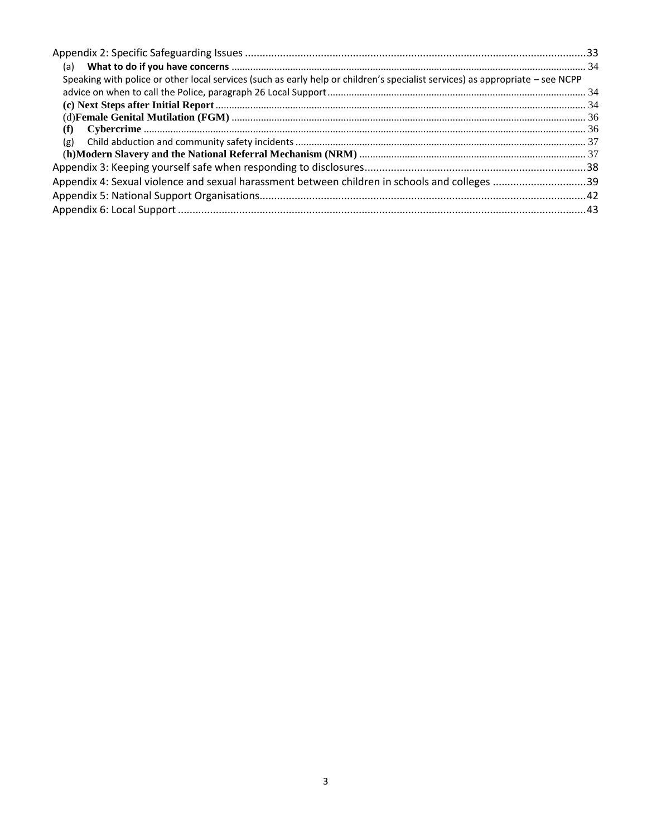| (a)                                                                                                                           |  |
|-------------------------------------------------------------------------------------------------------------------------------|--|
| Speaking with police or other local services (such as early help or children's specialist services) as appropriate - see NCPP |  |
|                                                                                                                               |  |
|                                                                                                                               |  |
|                                                                                                                               |  |
| (f)                                                                                                                           |  |
| (g)                                                                                                                           |  |
|                                                                                                                               |  |
|                                                                                                                               |  |
| Appendix 4: Sexual violence and sexual harassment between children in schools and colleges 39                                 |  |
|                                                                                                                               |  |
|                                                                                                                               |  |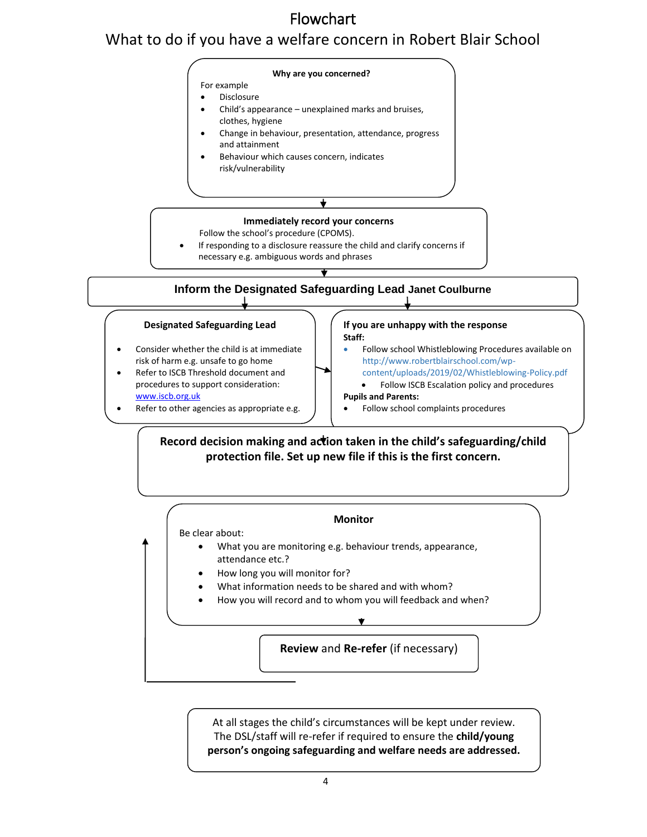# Flowchart

# What to do if you have a welfare concern in Robert Blair School



At all stages the child's circumstances will be kept under review. The DSL/staff will re-refer if required to ensure the **child/young person's ongoing safeguarding and welfare needs are addressed.**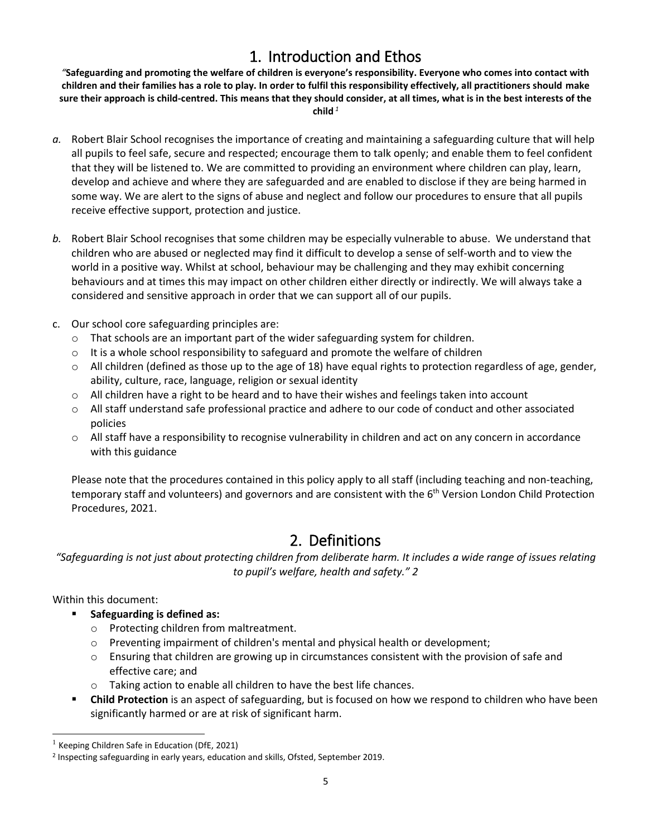# 1. Introduction and Ethos

<span id="page-4-0"></span>*"***Safeguarding and promoting the welfare of children is everyone's responsibility. Everyone who comes into contact with children and their families has a role to play. In order to fulfil this responsibility effectively, all practitioners should make sure their approach is child-centred. This means that they should consider, at all times, what is in the best interests of the child** *<sup>1</sup>*

- *a.* Robert Blair School recognises the importance of creating and maintaining a safeguarding culture that will help all pupils to feel safe, secure and respected; encourage them to talk openly; and enable them to feel confident that they will be listened to. We are committed to providing an environment where children can play, learn, develop and achieve and where they are safeguarded and are enabled to disclose if they are being harmed in some way. We are alert to the signs of abuse and neglect and follow our procedures to ensure that all pupils receive effective support, protection and justice.
- *b.* Robert Blair School recognises that some children may be especially vulnerable to abuse. We understand that children who are abused or neglected may find it difficult to develop a sense of self-worth and to view the world in a positive way. Whilst at school, behaviour may be challenging and they may exhibit concerning behaviours and at times this may impact on other children either directly or indirectly. We will always take a considered and sensitive approach in order that we can support all of our pupils.
- c. Our school core safeguarding principles are:
	- $\circ$  That schools are an important part of the wider safeguarding system for children.
	- $\circ$  It is a whole school responsibility to safeguard and promote the welfare of children
	- $\circ$  All children (defined as those up to the age of 18) have equal rights to protection regardless of age, gender, ability, culture, race, language, religion or sexual identity
	- $\circ$  All children have a right to be heard and to have their wishes and feelings taken into account
	- $\circ$  All staff understand safe professional practice and adhere to our code of conduct and other associated policies
	- $\circ$  All staff have a responsibility to recognise vulnerability in children and act on any concern in accordance with this guidance

Please note that the procedures contained in this policy apply to all staff (including teaching and non-teaching, temporary staff and volunteers) and governors and are consistent with the 6<sup>th</sup> Version London Child Protection Procedures, 2021.

# 2. Definitions

<span id="page-4-1"></span>*"Safeguarding is not just about protecting children from deliberate harm. It includes a wide range of issues relating to pupil's welfare, health and safety." 2*

Within this document:

l

- **Safeguarding is defined as:**
	- o Protecting children from maltreatment.
	- $\circ$  Preventing impairment of children's mental and physical health or development;
	- $\circ$  Ensuring that children are growing up in circumstances consistent with the provision of safe and effective care; and
	- o Taking action to enable all children to have the best life chances.
- **EXECT** Child Protection is an aspect of safeguarding, but is focused on how we respond to children who have been significantly harmed or are at risk of significant harm.

 $1$  Keeping Children Safe in Education (DfE, 2021)

<sup>&</sup>lt;sup>2</sup> Inspecting safeguarding in early years, education and skills, Ofsted, September 2019.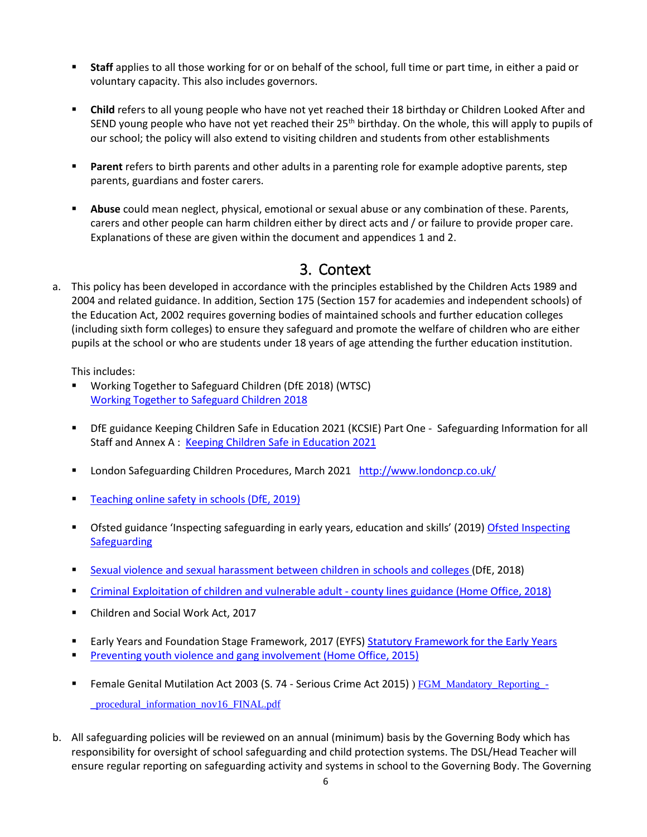- **EXECT** applies to all those working for or on behalf of the school, full time or part time, in either a paid or voluntary capacity. This also includes governors.
- **EXECT 18 I** Child refers to all young people who have not yet reached their 18 birthday or Children Looked After and SEND young people who have not yet reached their 25<sup>th</sup> birthday. On the whole, this will apply to pupils of our school; the policy will also extend to visiting children and students from other establishments
- **Parent** refers to birth parents and other adults in a parenting role for example adoptive parents, step parents, guardians and foster carers.
- **EXTED Abuse** could mean neglect, physical, emotional or sexual abuse or any combination of these. Parents, carers and other people can harm children either by direct acts and / or failure to provide proper care. Explanations of these are given within the document and appendices 1 and 2.

## 3. Context

<span id="page-5-0"></span>a. This policy has been developed in accordance with the principles established by the Children Acts 1989 and 2004 and related guidance. In addition, Section 175 (Section 157 for academies and independent schools) of the Education Act, 2002 requires governing bodies of maintained schools and further education colleges (including sixth form colleges) to ensure they safeguard and promote the welfare of children who are either pupils at the school or who are students under 18 years of age attending the further education institution.

This includes:

- Working Together to Safeguard Children (DfE 2018) (WTSC) [Working Together to Safeguard Children 2018](https://assets.publishing.service.gov.uk/government/uploads/system/uploads/attachment_data/file/729914/Working_Together_to_Safeguard_Children-2018.pdf)
- **EXECT A.** DfE guidance Keeping Children Safe in Education 2021 (KCSIE) Part One Safeguarding Information for all Staff and Annex A : [Keeping Children Safe in Education 2021](https://assets.publishing.service.gov.uk/government/uploads/system/uploads/attachment_data/file/892394/Keeping_children_safe_in_education_2020.pdf)
- **■** London Safeguarding Children Procedures, March 2021 <http://www.londoncp.co.uk/>
- **Example 1** [Teaching online safety in schools \(DfE, 2019\)](https://assets.publishing.service.gov.uk/government/uploads/system/uploads/attachment_data/file/811796/Teaching_online_safety_in_school.pdf)
- **•** Ofsted guidance 'Inspecting safeguarding in early years, education and skills' (2019) Ofsted Inspecting **[Safeguarding](https://www.gov.uk/government/publications/inspecting-safeguarding-in-early-years-education-and-skills-from-september-2015/inspecting-safeguarding-in-early-years-education-and-skills-settings)**
- [Sexual violence and sexual harassment between children in schools and colleges \(](https://www.gov.uk/government/uploads/system/uploads/attachment_data/file/667862/Sexual_Harassment_and_Sexual_Violence_-_Advice.pdf)DfE, 2018)
- [Criminal Exploitation of children and vulnerable adult -](https://assets.publishing.service.gov.uk/government/uploads/system/uploads/attachment_data/file/741194/HOCountyLinesGuidanceSept2018.pdf) county lines guidance (Home Office, 2018)
- Children and Social Work Act, 2017
- **Early Years and Foundation Stage Framework, 2017 (EYFS) [Statutory Framework for the Early Years](https://www.foundationyears.org.uk/files/2017/03/EYFS_STATUTORY_FRAMEWORK_2017.pdf)**
- **[Preventing youth violence and gang involvement \(Home Office, 2015\)](https://assets.publishing.service.gov.uk/government/uploads/system/uploads/attachment_data/file/418131/Preventing_youth_violence_and_gang_involvement_v3_March2015.pdf)**
- Female Genital Mutilation Act 2003 (S. 74 Serious Crime Act 2015) [\) FGM\\_Mandatory\\_Reporting\\_-](https://assets.publishing.service.gov.uk/government/uploads/system/uploads/attachment_data/file/573782/FGM_Mandatory_Reporting_-_procedural_information_nov16_FINAL.pdf) [\\_procedural\\_information\\_nov16\\_FINAL.pdf](https://assets.publishing.service.gov.uk/government/uploads/system/uploads/attachment_data/file/573782/FGM_Mandatory_Reporting_-_procedural_information_nov16_FINAL.pdf)
- b. All safeguarding policies will be reviewed on an annual (minimum) basis by the Governing Body which has responsibility for oversight of school safeguarding and child protection systems. The DSL/Head Teacher will ensure regular reporting on safeguarding activity and systems in school to the Governing Body. The Governing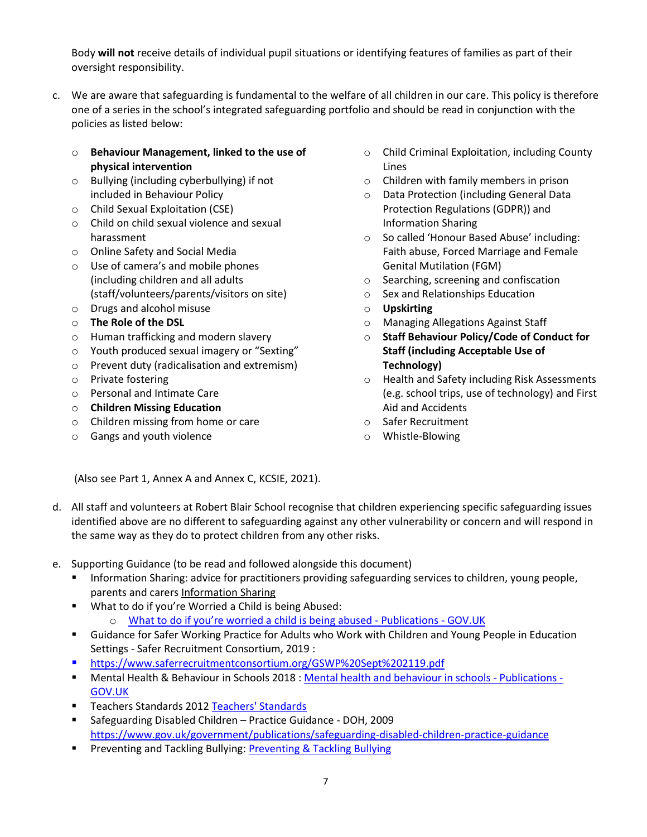Body **will not** receive details of individual pupil situations or identifying features of families as part of their oversight responsibility.

- c. We are aware that safeguarding is fundamental to the welfare of all children in our care. This policy is therefore one of a series in the school's integrated safeguarding portfolio and should be read in conjunction with the policies as listed below:
	- o **Behaviour Management, linked to the use of physical intervention**
	- o Bullying (including cyberbullying) if not included in Behaviour Policy
	- o Child Sexual Exploitation (CSE)
	- o Child on child sexual violence and sexual harassment
	- o Online Safety and Social Media
	- o Use of camera's and mobile phones (including children and all adults (staff/volunteers/parents/visitors on site)
	- o Drugs and alcohol misuse
	- o **The Role of the DSL**
	- o Human trafficking and modern slavery
	- o Youth produced sexual imagery or "Sexting"
	- o Prevent duty (radicalisation and extremism)
	- o Private fostering
	- o Personal and Intimate Care
	- o **Children Missing Education**
	- o Children missing from home or care
	- o Gangs and youth violence
- o Child Criminal Exploitation, including County Lines
- o Children with family members in prison
- o Data Protection (including General Data Protection Regulations (GDPR)) and Information Sharing
- o So called 'Honour Based Abuse' including: Faith abuse, Forced Marriage and Female Genital Mutilation (FGM)
- o Searching, screening and confiscation
- o Sex and Relationships Education
- o **Upskirting**
- o Managing Allegations Against Staff
- o **Staff Behaviour Policy/Code of Conduct for Staff (including Acceptable Use of Technology)**
- o Health and Safety including Risk Assessments (e.g. school trips, use of technology) and First Aid and Accidents
- o Safer Recruitment
- o Whistle-Blowing

(Also see Part 1, Annex A and Annex C, KCSIE, 2021).

- d. All staff and volunteers at Robert Blair School recognise that children experiencing specific safeguarding issues identified above are no different to safeguarding against any other vulnerability or concern and will respond in the same way as they do to protect children from any other risks.
- e. Supporting Guidance (to be read and followed alongside this document)
	- **■** Information Sharing: advice for practitioners providing safeguarding services to children, young people, parents and carer[s Information Sharing](https://assets.publishing.service.gov.uk/government/uploads/system/uploads/attachment_data/file/721581/Information_sharing_advice_practitioners_safeguarding_services.pdf)
	- What to do if you're Worried a Child is being Abused:

o [What to do if you're worried a child is being abused](https://www.gov.uk/government/publications/what-to-do-if-youre-worried-a-child-is-being-abused--2) - Publications - GOV.UK

- Guidance for Safer Working Practice for Adults who Work with Children and Young People in Education Settings - Safer Recruitment Consortium, 2019 :
- [https://www.saferrecruitmentconsortium.org/GSWP%20Sept%202119.pdf](file://///ad.islington.gov.uk/Service%20Areas/CEA/Access%20&%20Engagement%20Service%20(AES)/Safeguarding/Policy%20Documents/Safer%20Working%20Practice%202019)
- Mental Health & Behaviour in Schools 2018 : [Mental health and behaviour in schools -](https://www.gov.uk/government/publications/mental-health-and-behaviour-in-schools--2) Publications -[GOV.UK](https://www.gov.uk/government/publications/mental-health-and-behaviour-in-schools--2)
- Teachers Standards 2012 [Teachers' Standards](https://www.gov.uk/government/publications/teachers-standards)
- Safeguarding Disabled Children Practice Guidance DOH, 2009 <https://www.gov.uk/government/publications/safeguarding-disabled-children-practice-guidance>
- Preventing and Tackling Bullying: [Preventing & Tackling Bullying](https://assets.publishing.service.gov.uk/government/uploads/system/uploads/attachment_data/file/623895/Preventing_and_tackling_bullying_advice.pdf)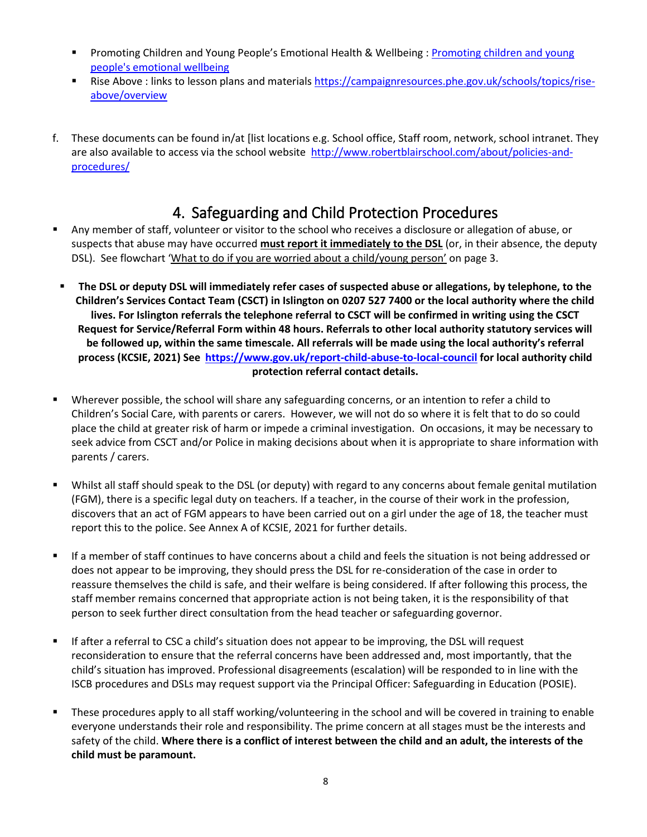- Promoting Children and Young People's Emotional Health & Wellbeing : Promoting children and young [people's emotional wellbeing](https://www.gov.uk/government/publications/promoting-children-and-young-peoples-emotional-health-and-wellbeing)
- Rise Above : links to lesson plans and material[s https://campaignresources.phe.gov.uk/schools/topics/rise](https://campaignresources.phe.gov.uk/schools/topics/rise-above/overview)[above/overview](https://campaignresources.phe.gov.uk/schools/topics/rise-above/overview)
- f. These documents can be found in/at [list locations e.g. School office, Staff room, network, school intranet. They are also available to access via the school website [http://www.robertblairschool.com/about/policies-and](http://www.robertblairschool.com/about/policies-and-procedures/)[procedures/](http://www.robertblairschool.com/about/policies-and-procedures/)

# 4. Safeguarding and Child Protection Procedures

- <span id="page-7-0"></span>Any member of staff, volunteer or visitor to the school who receives a disclosure or allegation of abuse, or suspects that abuse may have occurred **must report it immediately to the DSL** (or, in their absence, the deputy DSL). See flowchart 'What to do if you are worried about a child/young person' on page 3.
- **The DSL or deputy DSL will immediately refer cases of suspected abuse or allegations, by telephone, to the Children's Services Contact Team (CSCT) in Islington on 0207 527 7400 or the local authority where the child lives. For Islington referrals the telephone referral to CSCT will be confirmed in writing using the CSCT Request for Service/Referral Form within 48 hours. Referrals to other local authority statutory services will be followed up, within the same timescale. All referrals will be made using the local authority's referral process (KCSIE, 2021) See<https://www.gov.uk/report-child-abuse-to-local-council> for local authority child protection referral contact details.**
- Wherever possible, the school will share any safeguarding concerns, or an intention to refer a child to Children's Social Care, with parents or carers. However, we will not do so where it is felt that to do so could place the child at greater risk of harm or impede a criminal investigation. On occasions, it may be necessary to seek advice from CSCT and/or Police in making decisions about when it is appropriate to share information with parents / carers.
- Whilst all staff should speak to the DSL (or deputy) with regard to any concerns about female genital mutilation (FGM), there is a specific legal duty on teachers. If a teacher, in the course of their work in the profession, discovers that an act of FGM appears to have been carried out on a girl under the age of 18, the teacher must report this to the police. See Annex A of KCSIE, 2021 for further details.
- If a member of staff continues to have concerns about a child and feels the situation is not being addressed or does not appear to be improving, they should press the DSL for re-consideration of the case in order to reassure themselves the child is safe, and their welfare is being considered. If after following this process, the staff member remains concerned that appropriate action is not being taken, it is the responsibility of that person to seek further direct consultation from the head teacher or safeguarding governor.
- If after a referral to CSC a child's situation does not appear to be improving, the DSL will request reconsideration to ensure that the referral concerns have been addressed and, most importantly, that the child's situation has improved. Professional disagreements (escalation) will be responded to in line with the ISCB procedures and DSLs may request support via the Principal Officer: Safeguarding in Education (POSIE).
- These procedures apply to all staff working/volunteering in the school and will be covered in training to enable everyone understands their role and responsibility. The prime concern at all stages must be the interests and safety of the child. **Where there is a conflict of interest between the child and an adult, the interests of the child must be paramount.**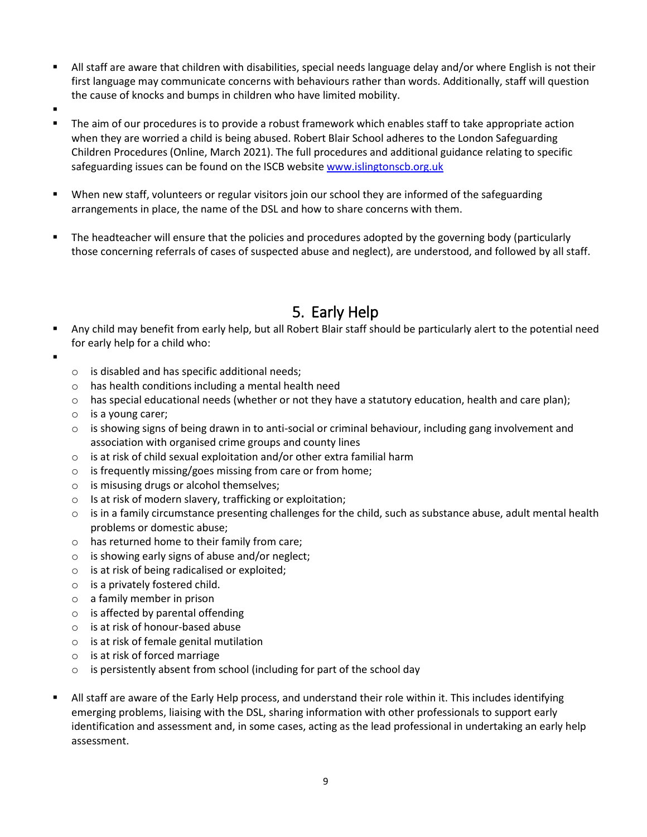- All staff are aware that children with disabilities, special needs language delay and/or where English is not their first language may communicate concerns with behaviours rather than words. Additionally, staff will question the cause of knocks and bumps in children who have limited mobility.
- ▪

▪

- The aim of our procedures is to provide a robust framework which enables staff to take appropriate action when they are worried a child is being abused. Robert Blair School adheres to the London Safeguarding Children Procedures (Online, March 2021). The full procedures and additional guidance relating to specific safeguarding issues can be found on the ISCB website www.islingtonscb.org.uk
- When new staff, volunteers or regular visitors join our school they are informed of the safeguarding arrangements in place, the name of the DSL and how to share concerns with them.
- The headteacher will ensure that the policies and procedures adopted by the governing body (particularly those concerning referrals of cases of suspected abuse and neglect), are understood, and followed by all staff.

# 5. Early Help

- <span id="page-8-0"></span>Any child may benefit from early help, but all Robert Blair staff should be particularly alert to the potential need for early help for a child who:
- o is disabled and has specific additional needs;
	- o has health conditions including a mental health need
	- $\circ$  has special educational needs (whether or not they have a statutory education, health and care plan);
	- o is a young carer;
	- $\circ$  is showing signs of being drawn in to anti-social or criminal behaviour, including gang involvement and association with organised crime groups and county lines
	- $\circ$  is at risk of child sexual exploitation and/or other extra familial harm
	- o is frequently missing/goes missing from care or from home;
	- o is misusing drugs or alcohol themselves;
	- o Is at risk of modern slavery, trafficking or exploitation;
	- $\circ$  is in a family circumstance presenting challenges for the child, such as substance abuse, adult mental health problems or domestic abuse;
	- o has returned home to their family from care;
	- o is showing early signs of abuse and/or neglect;
	- o is at risk of being radicalised or exploited;
	- $\circ$  is a privately fostered child.
	- o a family member in prison
	- $\circ$  is affected by parental offending
	- o is at risk of honour-based abuse
	- $\circ$  is at risk of female genital mutilation
	- o is at risk of forced marriage
	- o is persistently absent from school (including for part of the school day
- All staff are aware of the Early Help process, and understand their role within it. This includes identifying emerging problems, liaising with the DSL, sharing information with other professionals to support early identification and assessment and, in some cases, acting as the lead professional in undertaking an early help assessment.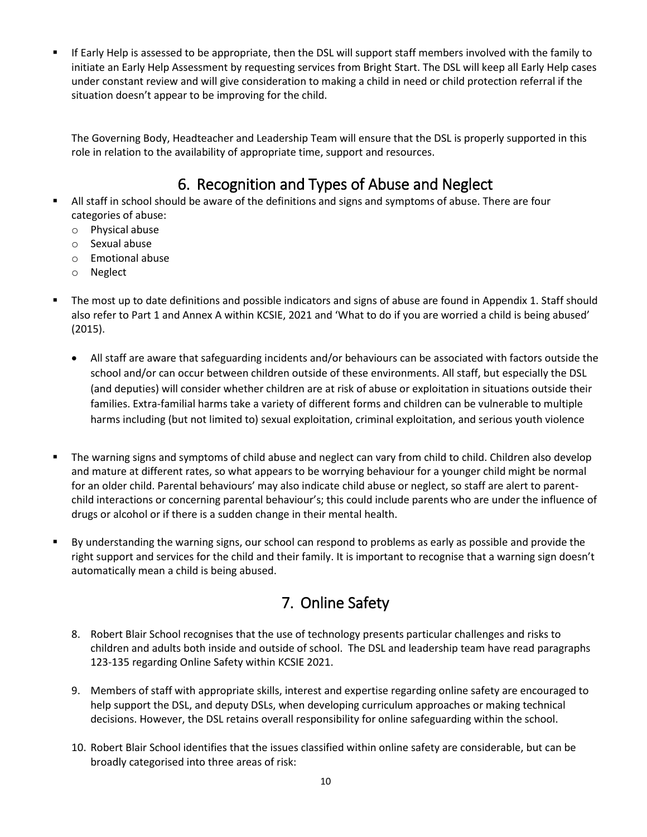If Early Help is assessed to be appropriate, then the DSL will support staff members involved with the family to initiate an Early Help Assessment by requesting services from Bright Start. The DSL will keep all Early Help cases under constant review and will give consideration to making a child in need or child protection referral if the situation doesn't appear to be improving for the child.

The Governing Body, Headteacher and Leadership Team will ensure that the DSL is properly supported in this role in relation to the availability of appropriate time, support and resources.

# 6. Recognition and Types of Abuse and Neglect

- <span id="page-9-0"></span>All staff in school should be aware of the definitions and signs and symptoms of abuse. There are four categories of abuse:
	- o Physical abuse
	- o Sexual abuse
	- o Emotional abuse
	- o Neglect
- The most up to date definitions and possible indicators and signs of abuse are found in Appendix 1. Staff should also refer to Part 1 and Annex A within KCSIE, 2021 and 'What to do if you are worried a child is being abused' (2015).
	- All staff are aware that safeguarding incidents and/or behaviours can be associated with factors outside the school and/or can occur between children outside of these environments. All staff, but especially the DSL (and deputies) will consider whether children are at risk of abuse or exploitation in situations outside their families. Extra-familial harms take a variety of different forms and children can be vulnerable to multiple harms including (but not limited to) sexual exploitation, criminal exploitation, and serious youth violence
- The warning signs and symptoms of child abuse and neglect can vary from child to child. Children also develop and mature at different rates, so what appears to be worrying behaviour for a younger child might be normal for an older child. Parental behaviours' may also indicate child abuse or neglect, so staff are alert to parentchild interactions or concerning parental behaviour's; this could include parents who are under the influence of drugs or alcohol or if there is a sudden change in their mental health.
- By understanding the warning signs, our school can respond to problems as early as possible and provide the right support and services for the child and their family. It is important to recognise that a warning sign doesn't automatically mean a child is being abused.

# 7. Online Safety

- <span id="page-9-1"></span>8. Robert Blair School recognises that the use of technology presents particular challenges and risks to children and adults both inside and outside of school. The DSL and leadership team have read paragraphs 123-135 regarding Online Safety within KCSIE 2021.
- 9. Members of staff with appropriate skills, interest and expertise regarding online safety are encouraged to help support the DSL, and deputy DSLs, when developing curriculum approaches or making technical decisions. However, the DSL retains overall responsibility for online safeguarding within the school.
- 10. Robert Blair School identifies that the issues classified within online safety are considerable, but can be broadly categorised into three areas of risk: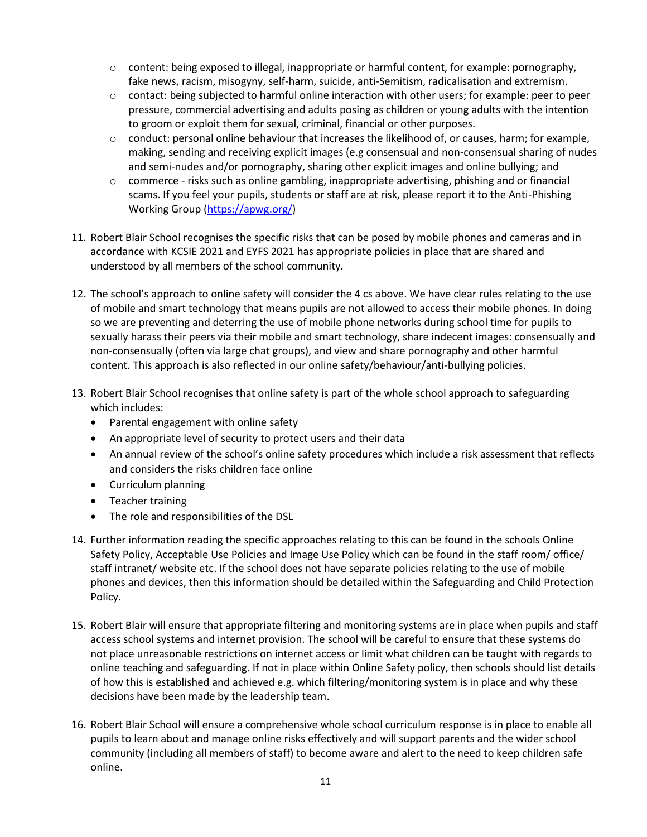- $\circ$  content: being exposed to illegal, inappropriate or harmful content, for example: pornography, fake news, racism, misogyny, self-harm, suicide, anti-Semitism, radicalisation and extremism.
- o contact: being subjected to harmful online interaction with other users; for example: peer to peer pressure, commercial advertising and adults posing as children or young adults with the intention to groom or exploit them for sexual, criminal, financial or other purposes.
- $\circ$  conduct: personal online behaviour that increases the likelihood of, or causes, harm; for example, making, sending and receiving explicit images (e.g consensual and non-consensual sharing of nudes and semi-nudes and/or pornography, sharing other explicit images and online bullying; and
- $\circ$  commerce risks such as online gambling, inappropriate advertising, phishing and or financial scams. If you feel your pupils, students or staff are at risk, please report it to the Anti-Phishing Working Group [\(https://apwg.org/\)](https://apwg.org/)
- 11. Robert Blair School recognises the specific risks that can be posed by mobile phones and cameras and in accordance with KCSIE 2021 and EYFS 2021 has appropriate policies in place that are shared and understood by all members of the school community.
- 12. The school's approach to online safety will consider the 4 cs above. We have clear rules relating to the use of mobile and smart technology that means pupils are not allowed to access their mobile phones. In doing so we are preventing and deterring the use of mobile phone networks during school time for pupils to sexually harass their peers via their mobile and smart technology, share indecent images: consensually and non-consensually (often via large chat groups), and view and share pornography and other harmful content. This approach is also reflected in our online safety/behaviour/anti-bullying policies.
- 13. Robert Blair School recognises that online safety is part of the whole school approach to safeguarding which includes:
	- Parental engagement with online safety
	- An appropriate level of security to protect users and their data
	- An annual review of the school's online safety procedures which include a risk assessment that reflects and considers the risks children face online
	- Curriculum planning
	- Teacher training
	- The role and responsibilities of the DSL
- 14. Further information reading the specific approaches relating to this can be found in the schools Online Safety Policy, Acceptable Use Policies and Image Use Policy which can be found in the staff room/ office/ staff intranet/ website etc. If the school does not have separate policies relating to the use of mobile phones and devices, then this information should be detailed within the Safeguarding and Child Protection Policy.
- 15. Robert Blair will ensure that appropriate filtering and monitoring systems are in place when pupils and staff access school systems and internet provision. The school will be careful to ensure that these systems do not place unreasonable restrictions on internet access or limit what children can be taught with regards to online teaching and safeguarding. If not in place within Online Safety policy, then schools should list details of how this is established and achieved e.g. which filtering/monitoring system is in place and why these decisions have been made by the leadership team.
- 16. Robert Blair School will ensure a comprehensive whole school curriculum response is in place to enable all pupils to learn about and manage online risks effectively and will support parents and the wider school community (including all members of staff) to become aware and alert to the need to keep children safe online.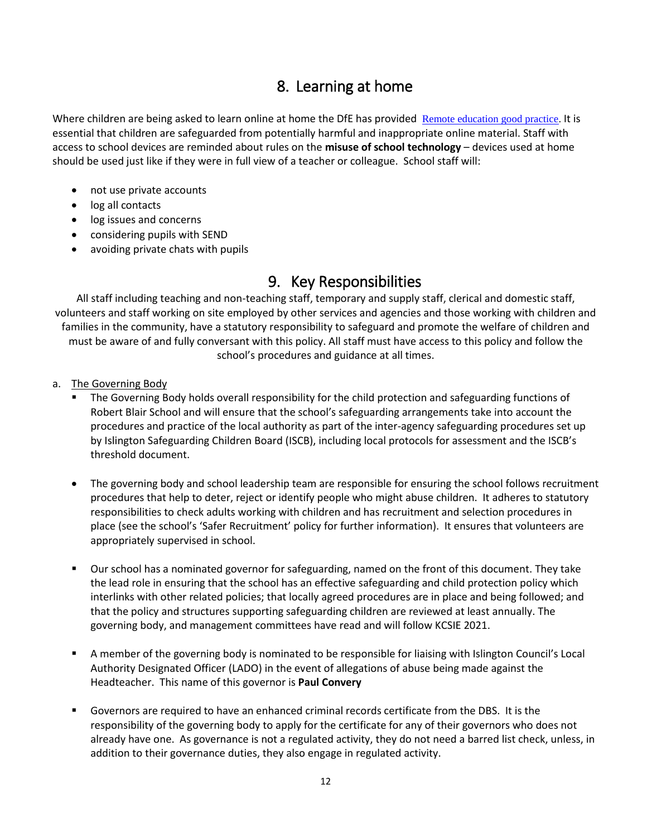# 8. Learning at home

<span id="page-11-0"></span>Where children are being asked to learn online at home the DfE has provided [Remote education good practice.](https://www.gov.uk/government/publications/remote-education-good-practice/remote-education-good-practice) It is essential that children are safeguarded from potentially harmful and inappropriate online material. Staff with access to school devices are reminded about rules on the **misuse of school technology** – devices used at home should be used just like if they were in full view of a teacher or colleague. School staff will:

- not use private accounts
- log all contacts
- log issues and concerns
- considering pupils with SEND
- avoiding private chats with pupils

## <span id="page-11-1"></span>9. Key Responsibilities

All staff including teaching and non-teaching staff, temporary and supply staff, clerical and domestic staff, volunteers and staff working on site employed by other services and agencies and those working with children and families in the community, have a statutory responsibility to safeguard and promote the welfare of children and must be aware of and fully conversant with this policy. All staff must have access to this policy and follow the school's procedures and guidance at all times.

- <span id="page-11-2"></span>a. The Governing Body
	- The Governing Body holds overall responsibility for the child protection and safeguarding functions of Robert Blair School and will ensure that the school's safeguarding arrangements take into account the procedures and practice of the local authority as part of the inter-agency safeguarding procedures set up by Islington Safeguarding Children Board (ISCB), including local protocols for assessment and the ISCB's threshold document.
	- The governing body and school leadership team are responsible for ensuring the school follows recruitment procedures that help to deter, reject or identify people who might abuse children. It adheres to statutory responsibilities to check adults working with children and has recruitment and selection procedures in place (see the school's 'Safer Recruitment' policy for further information). It ensures that volunteers are appropriately supervised in school.
	- Our school has a nominated governor for safeguarding, named on the front of this document. They take the lead role in ensuring that the school has an effective safeguarding and child protection policy which interlinks with other related policies; that locally agreed procedures are in place and being followed; and that the policy and structures supporting safeguarding children are reviewed at least annually. The governing body, and management committees have read and will follow KCSIE 2021.
	- A member of the governing body is nominated to be responsible for liaising with Islington Council's Local Authority Designated Officer (LADO) in the event of allegations of abuse being made against the Headteacher. This name of this governor is **Paul Convery**
	- Governors are required to have an enhanced criminal records certificate from the DBS. It is the responsibility of the governing body to apply for the certificate for any of their governors who does not already have one. As governance is not a regulated activity, they do not need a barred list check, unless, in addition to their governance duties, they also engage in regulated activity.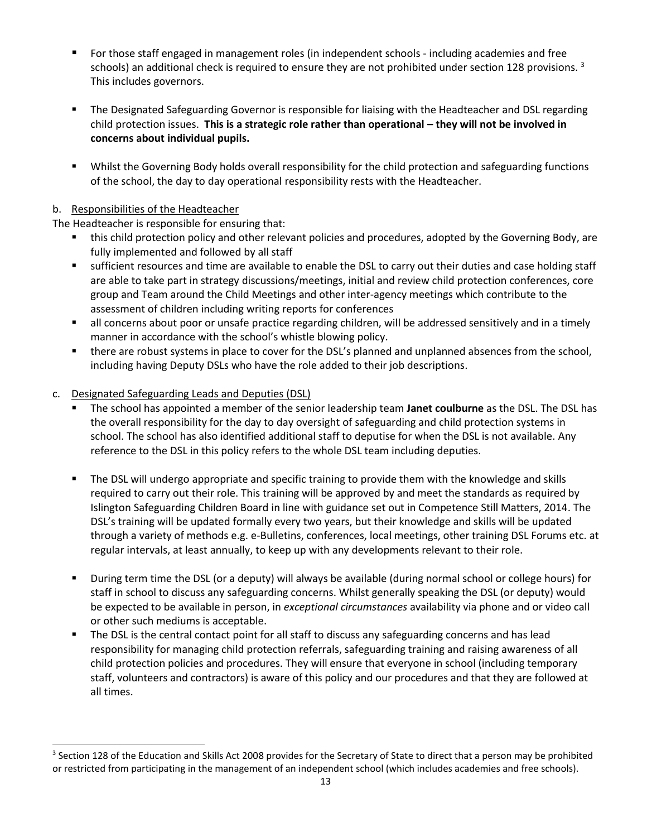- For those staff engaged in management roles (in independent schools including academies and free schools) an additional check is required to ensure they are not prohibited under section 128 provisions.<sup>3</sup> This includes governors.
- The Designated Safeguarding Governor is responsible for liaising with the Headteacher and DSL regarding child protection issues. This is a strategic role rather than operational – they will not be involved in **concerns about individual pupils.**
- Whilst the Governing Body holds overall responsibility for the child protection and safeguarding functions of the school, the day to day operational responsibility rests with the Headteacher.

### <span id="page-12-0"></span>b. Responsibilities of the Headteacher

The Headteacher is responsible for ensuring that:

- this child protection policy and other relevant policies and procedures, adopted by the Governing Body, are fully implemented and followed by all staff
- sufficient resources and time are available to enable the DSL to carry out their duties and case holding staff are able to take part in strategy discussions/meetings, initial and review child protection conferences, core group and Team around the Child Meetings and other inter-agency meetings which contribute to the assessment of children including writing reports for conferences
- all concerns about poor or unsafe practice regarding children, will be addressed sensitively and in a timely manner in accordance with the school's whistle blowing policy.
- there are robust systems in place to cover for the DSL's planned and unplanned absences from the school, including having Deputy DSLs who have the role added to their job descriptions.
- <span id="page-12-1"></span>c. Designated Safeguarding Leads and Deputies (DSL)

l

- The school has appointed a member of the senior leadership team **Janet coulburne** as the DSL. The DSL has the overall responsibility for the day to day oversight of safeguarding and child protection systems in school. The school has also identified additional staff to deputise for when the DSL is not available. Any reference to the DSL in this policy refers to the whole DSL team including deputies.
- The DSL will undergo appropriate and specific training to provide them with the knowledge and skills required to carry out their role. This training will be approved by and meet the standards as required by Islington Safeguarding Children Board in line with guidance set out in Competence Still Matters, 2014. The DSL's training will be updated formally every two years, but their knowledge and skills will be updated through a variety of methods e.g. e-Bulletins, conferences, local meetings, other training DSL Forums etc. at regular intervals, at least annually, to keep up with any developments relevant to their role.
- During term time the DSL (or a deputy) will always be available (during normal school or college hours) for staff in school to discuss any safeguarding concerns. Whilst generally speaking the DSL (or deputy) would be expected to be available in person, in *exceptional circumstances* availability via phone and or video call or other such mediums is acceptable.
- **•** The DSL is the central contact point for all staff to discuss any safeguarding concerns and has lead responsibility for managing child protection referrals, safeguarding training and raising awareness of all child protection policies and procedures. They will ensure that everyone in school (including temporary staff, volunteers and contractors) is aware of this policy and our procedures and that they are followed at all times.

 $3$  Section 128 of the Education and Skills Act 2008 provides for the Secretary of State to direct that a person may be prohibited or restricted from participating in the management of an independent school (which includes academies and free schools).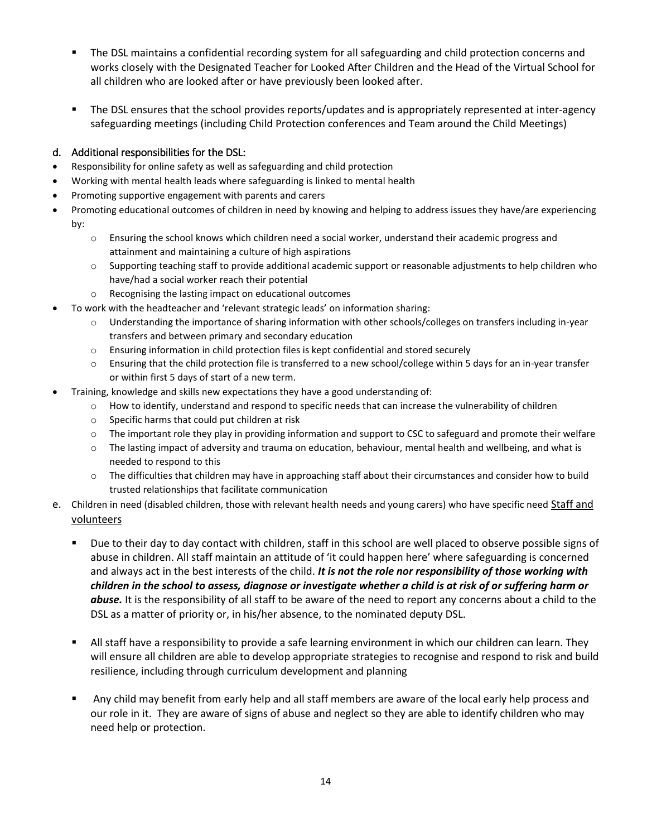- The DSL maintains a confidential recording system for all safeguarding and child protection concerns and works closely with the Designated Teacher for Looked After Children and the Head of the Virtual School for all children who are looked after or have previously been looked after.
- The DSL ensures that the school provides reports/updates and is appropriately represented at inter-agency safeguarding meetings (including Child Protection conferences and Team around the Child Meetings)

### <span id="page-13-0"></span>d. Additional responsibilities for the DSL:

- Responsibility for online safety as well as safeguarding and child protection
- Working with mental health leads where safeguarding is linked to mental health
- Promoting supportive engagement with parents and carers
- Promoting educational outcomes of children in need by knowing and helping to address issues they have/are experiencing by:
	- o Ensuring the school knows which children need a social worker, understand their academic progress and attainment and maintaining a culture of high aspirations
	- o Supporting teaching staff to provide additional academic support or reasonable adjustments to help children who have/had a social worker reach their potential
	- o Recognising the lasting impact on educational outcomes
- To work with the headteacher and 'relevant strategic leads' on information sharing:
	- o Understanding the importance of sharing information with other schools/colleges on transfers including in-year transfers and between primary and secondary education
	- o Ensuring information in child protection files is kept confidential and stored securely
	- o Ensuring that the child protection file is transferred to a new school/college within 5 days for an in-year transfer or within first 5 days of start of a new term.
- Training, knowledge and skills new expectations they have a good understanding of:
	- o How to identify, understand and respond to specific needs that can increase the vulnerability of children
	- o Specific harms that could put children at risk
	- o The important role they play in providing information and support to CSC to safeguard and promote their welfare
	- o The lasting impact of adversity and trauma on education, behaviour, mental health and wellbeing, and what is needed to respond to this
	- o The difficulties that children may have in approaching staff about their circumstances and consider how to build trusted relationships that facilitate communication
- e. Children in need (disabled children, those with relevant health needs and young carers) who have specific need Staff and volunteers
	- Due to their day to day contact with children, staff in this school are well placed to observe possible signs of abuse in children. All staff maintain an attitude of 'it could happen here' where safeguarding is concerned and always act in the best interests of the child. *It is not the role nor responsibility of those working with children in the school to assess, diagnose or investigate whether a child is at risk of or suffering harm or abuse.* It is the responsibility of all staff to be aware of the need to report any concerns about a child to the DSL as a matter of priority or, in his/her absence, to the nominated deputy DSL.
	- All staff have a responsibility to provide a safe learning environment in which our children can learn. They will ensure all children are able to develop appropriate strategies to recognise and respond to risk and build resilience, including through curriculum development and planning
	- Any child may benefit from early help and all staff members are aware of the local early help process and our role in it. They are aware of signs of abuse and neglect so they are able to identify children who may need help or protection.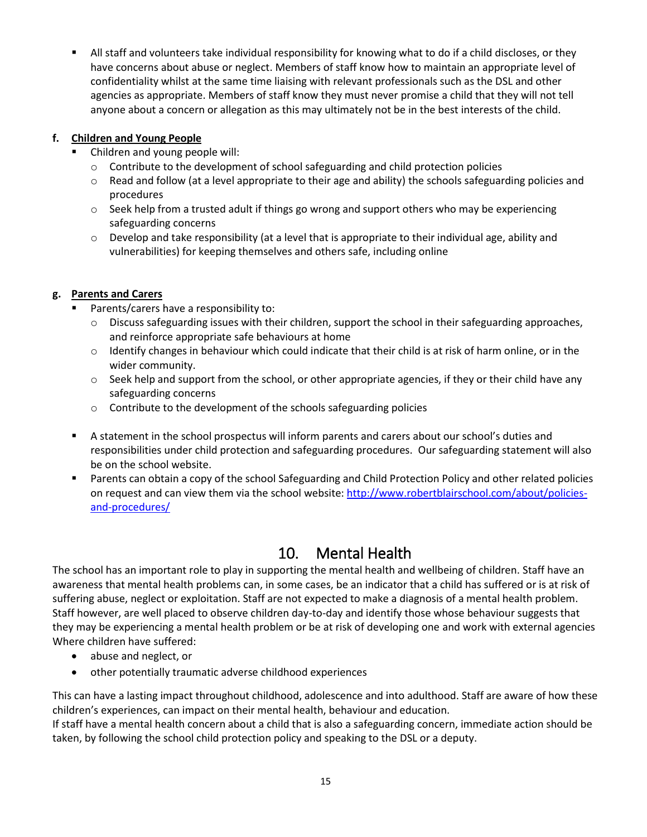■ All staff and volunteers take individual responsibility for knowing what to do if a child discloses, or they have concerns about abuse or neglect. Members of staff know how to maintain an appropriate level of confidentiality whilst at the same time liaising with relevant professionals such as the DSL and other agencies as appropriate. Members of staff know they must never promise a child that they will not tell anyone about a concern or allegation as this may ultimately not be in the best interests of the child.

### <span id="page-14-0"></span>**f. Children and Young People**

- Children and young people will:
	- $\circ$  Contribute to the development of school safeguarding and child protection policies
	- $\circ$  Read and follow (at a level appropriate to their age and ability) the schools safeguarding policies and procedures
	- $\circ$  Seek help from a trusted adult if things go wrong and support others who may be experiencing safeguarding concerns
	- $\circ$  Develop and take responsibility (at a level that is appropriate to their individual age, ability and vulnerabilities) for keeping themselves and others safe, including online

### <span id="page-14-1"></span>**g. Parents and Carers**

- Parents/carers have a responsibility to:
	- $\circ$  Discuss safeguarding issues with their children, support the school in their safeguarding approaches, and reinforce appropriate safe behaviours at home
	- $\circ$  Identify changes in behaviour which could indicate that their child is at risk of harm online, or in the wider community.
	- $\circ$  Seek help and support from the school, or other appropriate agencies, if they or their child have any safeguarding concerns
	- o Contribute to the development of the schools safeguarding policies
- A statement in the school prospectus will inform parents and carers about our school's duties and responsibilities under child protection and safeguarding procedures. Our safeguarding statement will also be on the school website.
- Parents can obtain a copy of the school Safeguarding and Child Protection Policy and other related policies on request and can view them via the school website: [http://www.robertblairschool.com/about/policies](http://www.robertblairschool.com/about/policies-and-procedures/)[and-procedures/](http://www.robertblairschool.com/about/policies-and-procedures/)

# 10. Mental Health

<span id="page-14-2"></span>The school has an important role to play in supporting the mental health and wellbeing of children. Staff have an awareness that mental health problems can, in some cases, be an indicator that a child has suffered or is at risk of suffering abuse, neglect or exploitation. Staff are not expected to make a diagnosis of a mental health problem. Staff however, are well placed to observe children day-to-day and identify those whose behaviour suggests that they may be experiencing a mental health problem or be at risk of developing one and work with external agencies Where children have suffered:

- abuse and neglect, or
- other potentially traumatic adverse childhood experiences

This can have a lasting impact throughout childhood, adolescence and into adulthood. Staff are aware of how these children's experiences, can impact on their mental health, behaviour and education.

If staff have a mental health concern about a child that is also a safeguarding concern, immediate action should be taken, by following the school child protection policy and speaking to the DSL or a deputy.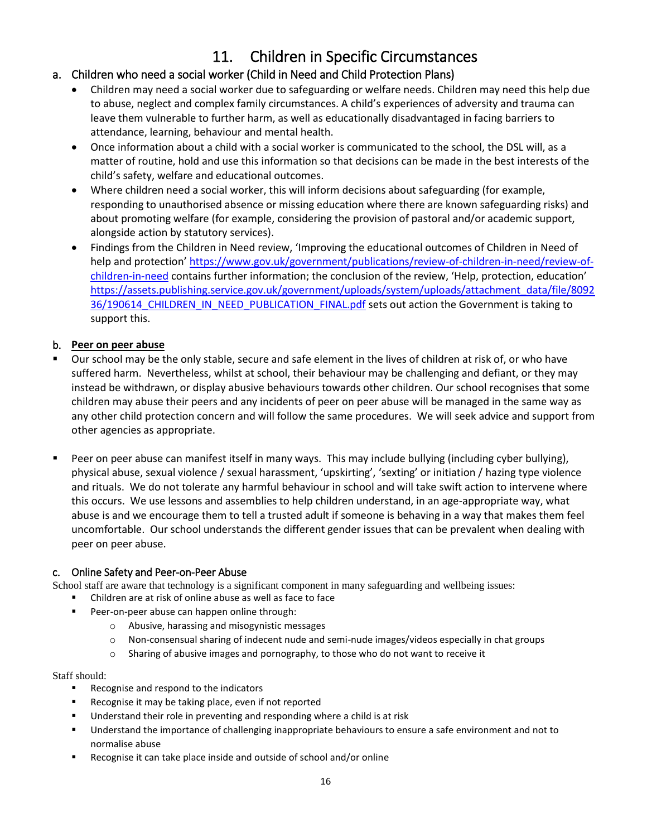# 11. Children in Specific Circumstances

### <span id="page-15-1"></span><span id="page-15-0"></span>a. Children who need a social worker (Child in Need and Child Protection Plans)

- Children may need a social worker due to safeguarding or welfare needs. Children may need this help due to abuse, neglect and complex family circumstances. A child's experiences of adversity and trauma can leave them vulnerable to further harm, as well as educationally disadvantaged in facing barriers to attendance, learning, behaviour and mental health.
- Once information about a child with a social worker is communicated to the school, the DSL will, as a matter of routine, hold and use this information so that decisions can be made in the best interests of the child's safety, welfare and educational outcomes.
- Where children need a social worker, this will inform decisions about safeguarding (for example, responding to unauthorised absence or missing education where there are known safeguarding risks) and about promoting welfare (for example, considering the provision of pastoral and/or academic support, alongside action by statutory services).
- Findings from the Children in Need review, 'Improving the educational outcomes of Children in Need of help and protection' [https://www.gov.uk/government/publications/review-of-children-in-need/review-of](https://www.gov.uk/government/publications/review-of-children-in-need/review-of-children-in-need)[children-in-need](https://www.gov.uk/government/publications/review-of-children-in-need/review-of-children-in-need) contains further information; the conclusion of the review, 'Help, protection, education' [https://assets.publishing.service.gov.uk/government/uploads/system/uploads/attachment\\_data/file/8092](https://assets.publishing.service.gov.uk/government/uploads/system/uploads/attachment_data/file/809236/190614_CHILDREN_IN_NEED_PUBLICATION_FINAL.pdf) 36/190614 CHILDREN\_IN\_NEED\_PUBLICATION\_FINAL.pdf sets out action the Government is taking to support this.

### <span id="page-15-2"></span>b. **Peer on peer abuse**

- Our school may be the only stable, secure and safe element in the lives of children at risk of, or who have suffered harm. Nevertheless, whilst at school, their behaviour may be challenging and defiant, or they may instead be withdrawn, or display abusive behaviours towards other children. Our school recognises that some children may abuse their peers and any incidents of peer on peer abuse will be managed in the same way as any other child protection concern and will follow the same procedures. We will seek advice and support from other agencies as appropriate.
- Peer on peer abuse can manifest itself in many ways. This may include bullying (including cyber bullying), physical abuse, sexual violence / sexual harassment, 'upskirting', 'sexting' or initiation / hazing type violence and rituals. We do not tolerate any harmful behaviour in school and will take swift action to intervene where this occurs. We use lessons and assemblies to help children understand, in an age-appropriate way, what abuse is and we encourage them to tell a trusted adult if someone is behaving in a way that makes them feel uncomfortable. Our school understands the different gender issues that can be prevalent when dealing with peer on peer abuse.

### <span id="page-15-3"></span>c. Online Safety and Peer-on-Peer Abuse

School staff are aware that technology is a significant component in many safeguarding and wellbeing issues:

- Children are at risk of online abuse as well as face to face
- Peer-on-peer abuse can happen online through:
	- o Abusive, harassing and misogynistic messages
	- o Non-consensual sharing of indecent nude and semi-nude images/videos especially in chat groups
	- $\circ$  Sharing of abusive images and pornography, to those who do not want to receive it

#### Staff should:

- Recognise and respond to the indicators
- Recognise it may be taking place, even if not reported
- Understand their role in preventing and responding where a child is at risk
- Understand the importance of challenging inappropriate behaviours to ensure a safe environment and not to normalise abuse
- Recognise it can take place inside and outside of school and/or online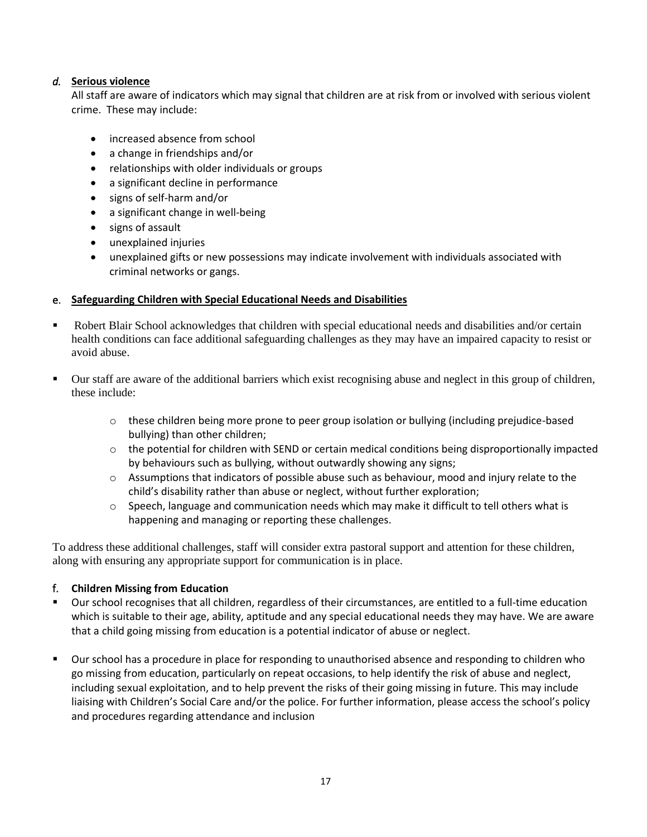### <span id="page-16-0"></span>*d.* **Serious violence**

All staff are aware of indicators which may signal that children are at risk from or involved with serious violent crime. These may include:

- increased absence from school
- a change in friendships and/or
- relationships with older individuals or groups
- a significant decline in performance
- signs of self-harm and/or
- a significant change in well-being
- signs of assault
- unexplained injuries
- unexplained gifts or new possessions may indicate involvement with individuals associated with criminal networks or gangs.

#### <span id="page-16-1"></span>e. **Safeguarding Children with Special Educational Needs and Disabilities**

- Robert Blair School acknowledges that children with special educational needs and disabilities and/or certain health conditions can face additional safeguarding challenges as they may have an impaired capacity to resist or avoid abuse.
- Our staff are aware of the additional barriers which exist recognising abuse and neglect in this group of children, these include:
	- $\circ$  these children being more prone to peer group isolation or bullying (including prejudice-based bullying) than other children;
	- $\circ$  the potential for children with SEND or certain medical conditions being disproportionally impacted by behaviours such as bullying, without outwardly showing any signs;
	- $\circ$  Assumptions that indicators of possible abuse such as behaviour, mood and injury relate to the child's disability rather than abuse or neglect, without further exploration;
	- $\circ$  Speech, language and communication needs which may make it difficult to tell others what is happening and managing or reporting these challenges.

To address these additional challenges, staff will consider extra pastoral support and attention for these children, along with ensuring any appropriate support for communication is in place.

#### <span id="page-16-2"></span>f. **Children Missing from Education**

- Our school recognises that all children, regardless of their circumstances, are entitled to a full-time education which is suitable to their age, ability, aptitude and any special educational needs they may have. We are aware that a child going missing from education is a potential indicator of abuse or neglect.
- Our school has a procedure in place for responding to unauthorised absence and responding to children who go missing from education, particularly on repeat occasions, to help identify the risk of abuse and neglect, including sexual exploitation, and to help prevent the risks of their going missing in future. This may include liaising with Children's Social Care and/or the police. For further information, please access the school's policy and procedures regarding attendance and inclusion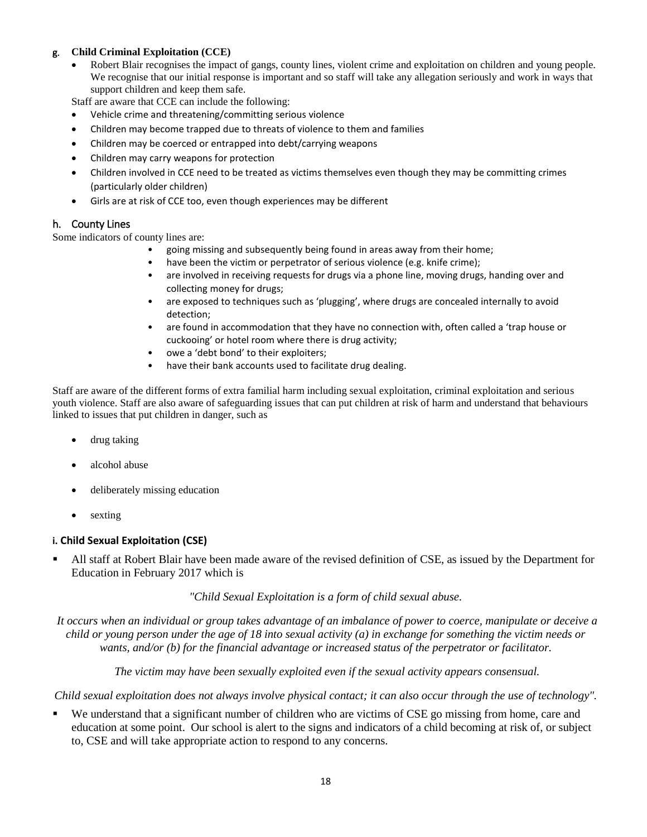#### <span id="page-17-0"></span>g. **Child Criminal Exploitation (CCE)**

• Robert Blair recognises the impact of gangs, county lines, violent crime and exploitation on children and young people. We recognise that our initial response is important and so staff will take any allegation seriously and work in ways that support children and keep them safe.

Staff are aware that CCE can include the following:

- Vehicle crime and threatening/committing serious violence
- Children may become trapped due to threats of violence to them and families
- Children may be coerced or entrapped into debt/carrying weapons
- Children may carry weapons for protection
- Children involved in CCE need to be treated as victims themselves even though they may be committing crimes (particularly older children)
- Girls are at risk of CCE too, even though experiences may be different

#### <span id="page-17-1"></span>h. County Lines

Some indicators of county lines are:

- going missing and subsequently being found in areas away from their home;
- have been the victim or perpetrator of serious violence (e.g. knife crime);
- are involved in receiving requests for drugs via a phone line, moving drugs, handing over and collecting money for drugs;
- are exposed to techniques such as 'plugging', where drugs are concealed internally to avoid detection;
- are found in accommodation that they have no connection with, often called a 'trap house or cuckooing' or hotel room where there is drug activity;
- owe a 'debt bond' to their exploiters;
- have their bank accounts used to facilitate drug dealing.

Staff are aware of the different forms of extra familial harm including sexual exploitation, criminal exploitation and serious youth violence. Staff are also aware of safeguarding issues that can put children at risk of harm and understand that behaviours linked to issues that put children in danger, such as

- drug taking
- alcohol abuse
- deliberately missing education
- sexting

#### <span id="page-17-2"></span>**i. Child Sexual Exploitation (CSE)**

All staff at Robert Blair have been made aware of the revised definition of CSE, as issued by the Department for Education in February 2017 which is

*"Child Sexual Exploitation is a form of child sexual abuse.*

*It occurs when an individual or group takes advantage of an imbalance of power to coerce, manipulate or deceive a child or young person under the age of 18 into sexual activity (a) in exchange for something the victim needs or wants, and/or (b) for the financial advantage or increased status of the perpetrator or facilitator.*

*The victim may have been sexually exploited even if the sexual activity appears consensual.* 

*Child sexual exploitation does not always involve physical contact; it can also occur through the use of technology".*

We understand that a significant number of children who are victims of CSE go missing from home, care and education at some point. Our school is alert to the signs and indicators of a child becoming at risk of, or subject to, CSE and will take appropriate action to respond to any concerns.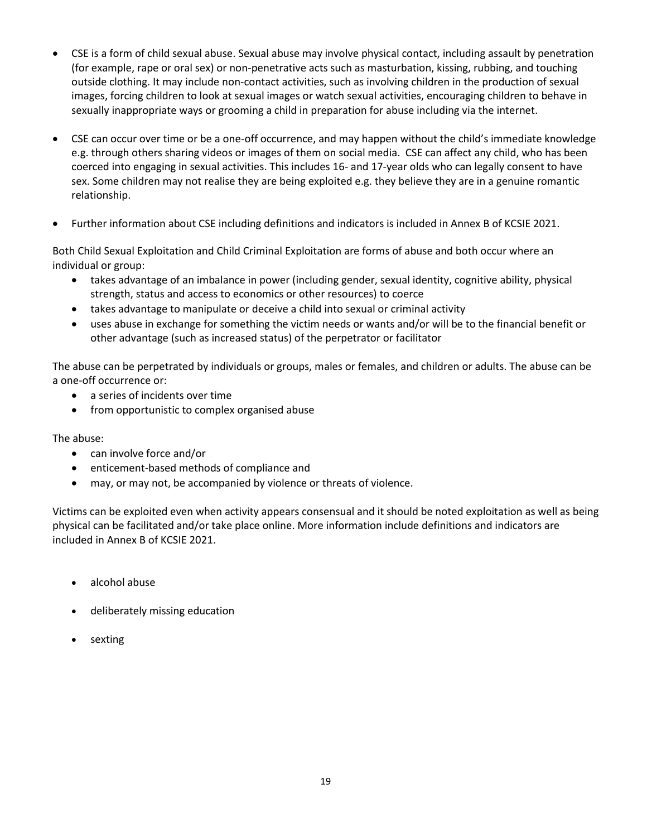- CSE is a form of child sexual abuse. Sexual abuse may involve physical contact, including assault by penetration (for example, rape or oral sex) or non-penetrative acts such as masturbation, kissing, rubbing, and touching outside clothing. It may include non-contact activities, such as involving children in the production of sexual images, forcing children to look at sexual images or watch sexual activities, encouraging children to behave in sexually inappropriate ways or grooming a child in preparation for abuse including via the internet.
- CSE can occur over time or be a one-off occurrence, and may happen without the child's immediate knowledge e.g. through others sharing videos or images of them on social media. CSE can affect any child, who has been coerced into engaging in sexual activities. This includes 16- and 17-year olds who can legally consent to have sex. Some children may not realise they are being exploited e.g. they believe they are in a genuine romantic relationship.
- Further information about CSE including definitions and indicators is included in Annex B of KCSIE 2021.

Both Child Sexual Exploitation and Child Criminal Exploitation are forms of abuse and both occur where an individual or group:

- takes advantage of an imbalance in power (including gender, sexual identity, cognitive ability, physical strength, status and access to economics or other resources) to coerce
- takes advantage to manipulate or deceive a child into sexual or criminal activity
- uses abuse in exchange for something the victim needs or wants and/or will be to the financial benefit or other advantage (such as increased status) of the perpetrator or facilitator

The abuse can be perpetrated by individuals or groups, males or females, and children or adults. The abuse can be a one-off occurrence or:

- a series of incidents over time
- from opportunistic to complex organised abuse

The abuse:

- can involve force and/or
- enticement-based methods of compliance and
- may, or may not, be accompanied by violence or threats of violence.

Victims can be exploited even when activity appears consensual and it should be noted exploitation as well as being physical can be facilitated and/or take place online. More information include definitions and indicators are included in Annex B of KCSIE 2021.

- alcohol abuse
- deliberately missing education
- sexting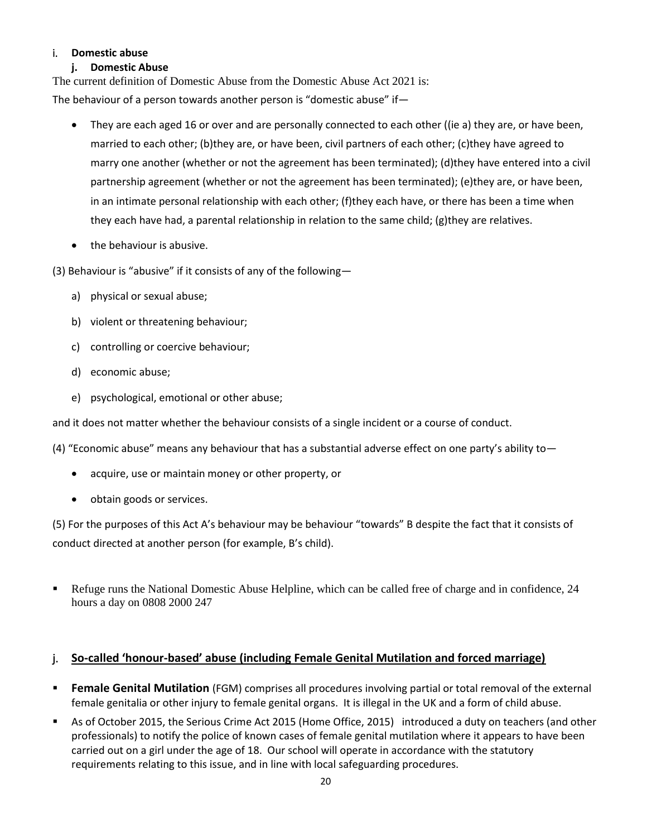### <span id="page-19-0"></span>i. **Domestic abuse**

### <span id="page-19-1"></span>**j. Domestic Abuse**

The current definition of Domestic Abuse from the Domestic Abuse Act 2021 is: The behaviour of a person towards another person is "domestic abuse" if—

- They are each aged 16 or over and are personally connected to each other ((ie a) they are, or have been, married to each other; (b)they are, or have been, civil partners of each other; (c)they have agreed to marry one another (whether or not the agreement has been terminated); (d)they have entered into a civil partnership agreement (whether or not the agreement has been terminated); (e)they are, or have been, in an intimate personal relationship with each other; (f)they each have, or there has been a time when they each have had, a parental relationship in relation to the same child; (g)they are relatives.
- the behaviour is abusive.
- (3) Behaviour is "abusive" if it consists of any of the following
	- a) physical or sexual abuse;
	- b) violent or threatening behaviour;
	- c) controlling or coercive behaviour;
	- d) economic abuse;
	- e) psychological, emotional or other abuse;

and it does not matter whether the behaviour consists of a single incident or a course of conduct.

- (4) "Economic abuse" means any behaviour that has a substantial adverse effect on one party's ability to—
	- acquire, use or maintain money or other property, or
	- obtain goods or services.

(5) For the purposes of this Act A's behaviour may be behaviour "towards" B despite the fact that it consists of conduct directed at another person (for example, B's child).

Refuge runs the National Domestic Abuse Helpline, which can be called free of charge and in confidence, 24 hours a day on 0808 2000 247

### <span id="page-19-2"></span>j. **So-called 'honour-based' abuse (including Female Genital Mutilation and forced marriage)**

- **Female Genital Mutilation** (FGM) comprises all procedures involving partial or total removal of the external female genitalia or other injury to female genital organs. It is illegal in the UK and a form of child abuse.
- As of October 2015, the Serious Crime Act 2015 (Home Office, 2015) introduced a duty on teachers (and other professionals) to notify the police of known cases of female genital mutilation where it appears to have been carried out on a girl under the age of 18. Our school will operate in accordance with the statutory requirements relating to this issue, and in line with local safeguarding procedures.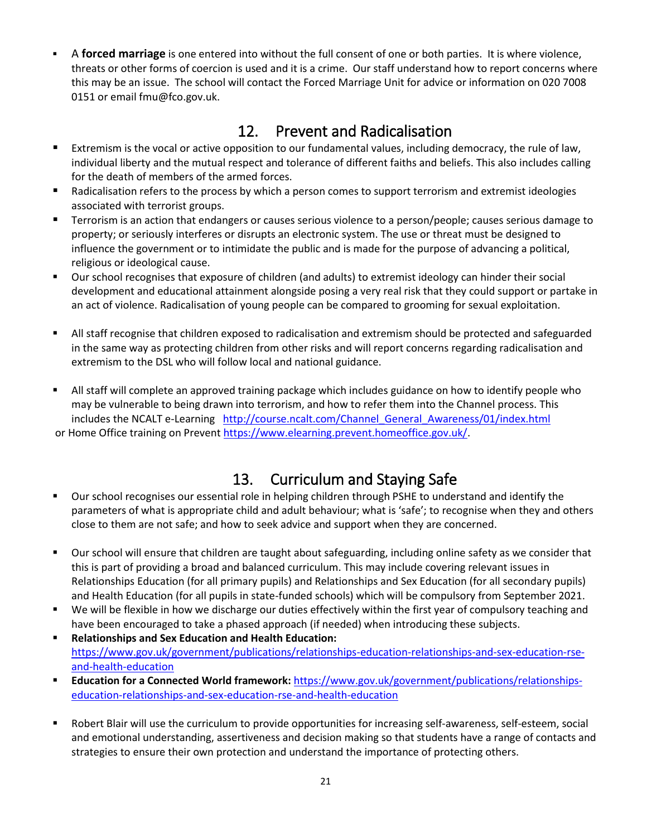▪ A **forced marriage** is one entered into without the full consent of one or both parties. It is where violence, threats or other forms of coercion is used and it is a crime. Our staff understand how to report concerns where this may be an issue. The school will contact the Forced Marriage Unit for advice or information on 020 7008 0151 or email fmu@fco.gov.uk.

# 12. Prevent and Radicalisation

- <span id="page-20-0"></span>Extremism is the vocal or active opposition to our fundamental values, including democracy, the rule of law, individual liberty and the mutual respect and tolerance of different faiths and beliefs. This also includes calling for the death of members of the armed forces.
- Radicalisation refers to the process by which a person comes to support terrorism and extremist ideologies associated with terrorist groups.
- Terrorism is an action that endangers or causes serious violence to a person/people; causes serious damage to property; or seriously interferes or disrupts an electronic system. The use or threat must be designed to influence the government or to intimidate the public and is made for the purpose of advancing a political, religious or ideological cause.
- Our school recognises that exposure of children (and adults) to extremist ideology can hinder their social development and educational attainment alongside posing a very real risk that they could support or partake in an act of violence. Radicalisation of young people can be compared to grooming for sexual exploitation.
- All staff recognise that children exposed to radicalisation and extremism should be protected and safeguarded in the same way as protecting children from other risks and will report concerns regarding radicalisation and extremism to the DSL who will follow local and national guidance.
- All staff will complete an approved training package which includes guidance on how to identify people who may be vulnerable to being drawn into terrorism, and how to refer them into the Channel process. This includes the NCALT e-Learning [http://course.ncalt.com/Channel\\_General\\_Awareness/01/index.html](http://course.ncalt.com/Channel_General_Awareness/01/index.html) or Home Office training on Prevent [https://www.elearning.prevent.homeoffice.gov.uk/.](https://www.elearning.prevent.homeoffice.gov.uk/)

# 13. Curriculum and Staying Safe

- <span id="page-20-1"></span>Our school recognises our essential role in helping children through PSHE to understand and identify the parameters of what is appropriate child and adult behaviour; what is 'safe'; to recognise when they and others close to them are not safe; and how to seek advice and support when they are concerned.
- Our school will ensure that children are taught about safeguarding, including online safety as we consider that this is part of providing a broad and balanced curriculum. This may include covering relevant issues in Relationships Education (for all primary pupils) and Relationships and Sex Education (for all secondary pupils) and Health Education (for all pupils in state-funded schools) which will be compulsory from September 2021.
- We will be flexible in how we discharge our duties effectively within the first year of compulsory teaching and have been encouraged to take a phased approach (if needed) when introducing these subjects.
- **Relationships and Sex Education and Health Education:** [https://www.gov.uk/government/publications/relationships-education-relationships-and-sex-education-rse](https://www.gov.uk/government/publications/relationships-education-relationships-and-sex-education-rse-and-health-education)[and-health-education](https://www.gov.uk/government/publications/relationships-education-relationships-and-sex-education-rse-and-health-education)
- **Education for a Connected World framework:** [https://www.gov.uk/government/publications/relationships](https://www.gov.uk/government/publications/relationships-education-relationships-and-sex-education-rse-and-health-education)[education-relationships-and-sex-education-rse-and-health-education](https://www.gov.uk/government/publications/relationships-education-relationships-and-sex-education-rse-and-health-education)
- Robert Blair will use the curriculum to provide opportunities for increasing self-awareness, self-esteem, social and emotional understanding, assertiveness and decision making so that students have a range of contacts and strategies to ensure their own protection and understand the importance of protecting others.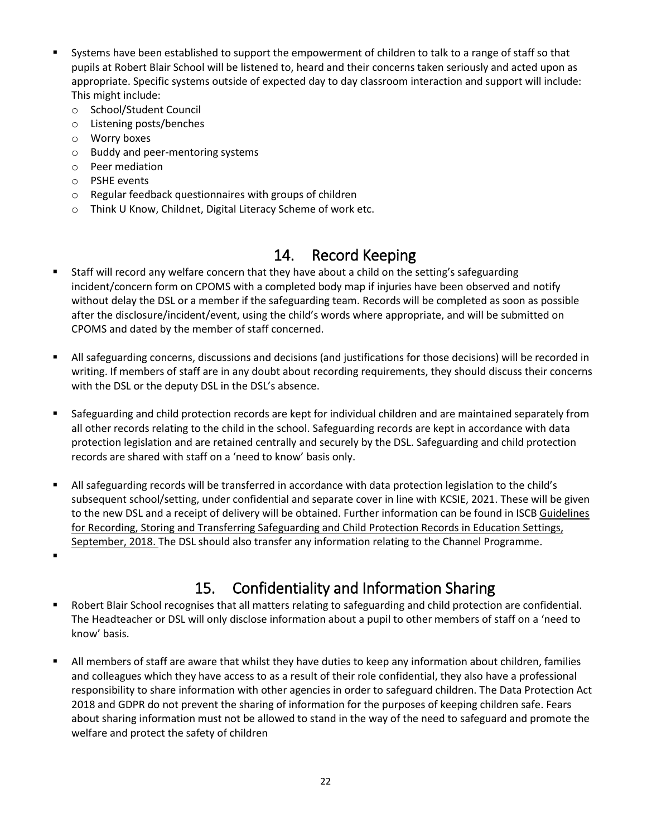- Systems have been established to support the empowerment of children to talk to a range of staff so that pupils at Robert Blair School will be listened to, heard and their concerns taken seriously and acted upon as appropriate. Specific systems outside of expected day to day classroom interaction and support will include: This might include:
	- o School/Student Council
	- o Listening posts/benches
	- o Worry boxes
	- o Buddy and peer-mentoring systems
	- o Peer mediation
	- o PSHE events

▪

- o Regular feedback questionnaires with groups of children
- o Think U Know, Childnet, Digital Literacy Scheme of work etc.

## 14. Record Keeping

- <span id="page-21-0"></span>Staff will record any welfare concern that they have about a child on the setting's safeguarding incident/concern form on CPOMS with a completed body map if injuries have been observed and notify without delay the DSL or a member if the safeguarding team. Records will be completed as soon as possible after the disclosure/incident/event, using the child's words where appropriate, and will be submitted on CPOMS and dated by the member of staff concerned.
- All safeguarding concerns, discussions and decisions (and justifications for those decisions) will be recorded in writing. If members of staff are in any doubt about recording requirements, they should discuss their concerns with the DSL or the deputy DSL in the DSL's absence.
- Safeguarding and child protection records are kept for individual children and are maintained separately from all other records relating to the child in the school. Safeguarding records are kept in accordance with data protection legislation and are retained centrally and securely by the DSL. Safeguarding and child protection records are shared with staff on a 'need to know' basis only.
- All safeguarding records will be transferred in accordance with data protection legislation to the child's subsequent school/setting, under confidential and separate cover in line with KCSIE, 2021. These will be given to the new DSL and a receipt of delivery will be obtained. Further information can be found in ISCB Guidelines for Recording, Storing and Transferring Safeguarding and Child Protection Records in Education Settings, September, 2018. The DSL should also transfer any information relating to the Channel Programme.

# 15. Confidentiality and Information Sharing

- <span id="page-21-1"></span>Robert Blair School recognises that all matters relating to safeguarding and child protection are confidential. The Headteacher or DSL will only disclose information about a pupil to other members of staff on a 'need to know' basis.
- All members of staff are aware that whilst they have duties to keep any information about children, families and colleagues which they have access to as a result of their role confidential, they also have a professional responsibility to share information with other agencies in order to safeguard children. The Data Protection Act 2018 and GDPR do not prevent the sharing of information for the purposes of keeping children safe. Fears about sharing information must not be allowed to stand in the way of the need to safeguard and promote the welfare and protect the safety of children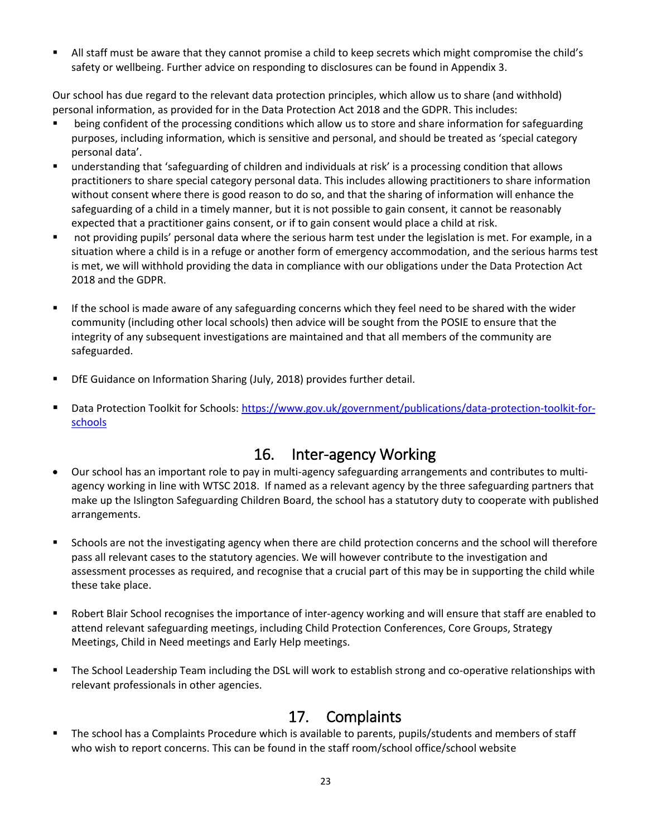All staff must be aware that they cannot promise a child to keep secrets which might compromise the child's safety or wellbeing. Further advice on responding to disclosures can be found in Appendix 3.

Our school has due regard to the relevant data protection principles, which allow us to share (and withhold) personal information, as provided for in the Data Protection Act 2018 and the GDPR. This includes:

- being confident of the processing conditions which allow us to store and share information for safeguarding purposes, including information, which is sensitive and personal, and should be treated as 'special category personal data'.
- understanding that 'safeguarding of children and individuals at risk' is a processing condition that allows practitioners to share special category personal data. This includes allowing practitioners to share information without consent where there is good reason to do so, and that the sharing of information will enhance the safeguarding of a child in a timely manner, but it is not possible to gain consent, it cannot be reasonably expected that a practitioner gains consent, or if to gain consent would place a child at risk.
- not providing pupils' personal data where the serious harm test under the legislation is met. For example, in a situation where a child is in a refuge or another form of emergency accommodation, and the serious harms test is met, we will withhold providing the data in compliance with our obligations under the Data Protection Act 2018 and the GDPR.
- If the school is made aware of any safeguarding concerns which they feel need to be shared with the wider community (including other local schools) then advice will be sought from the POSIE to ensure that the integrity of any subsequent investigations are maintained and that all members of the community are safeguarded.
- DfE Guidance on Information Sharing (July, 2018) provides further detail.
- Data Protection Toolkit for Schools[: https://www.gov.uk/government/publications/data-protection-toolkit-for](https://www.gov.uk/government/publications/data-protection-toolkit-for-schools)[schools](https://www.gov.uk/government/publications/data-protection-toolkit-for-schools)

## 16. Inter-agency Working

- <span id="page-22-0"></span>• Our school has an important role to pay in multi-agency safeguarding arrangements and contributes to multiagency working in line with WTSC 2018. If named as a relevant agency by the three safeguarding partners that make up the Islington Safeguarding Children Board, the school has a statutory duty to cooperate with published arrangements.
- Schools are not the investigating agency when there are child protection concerns and the school will therefore pass all relevant cases to the statutory agencies. We will however contribute to the investigation and assessment processes as required, and recognise that a crucial part of this may be in supporting the child while these take place.
- Robert Blair School recognises the importance of inter-agency working and will ensure that staff are enabled to attend relevant safeguarding meetings, including Child Protection Conferences, Core Groups, Strategy Meetings, Child in Need meetings and Early Help meetings.
- The School Leadership Team including the DSL will work to establish strong and co-operative relationships with relevant professionals in other agencies.

# 17. Complaints

<span id="page-22-1"></span>The school has a Complaints Procedure which is available to parents, pupils/students and members of staff who wish to report concerns. This can be found in the staff room/school office/school website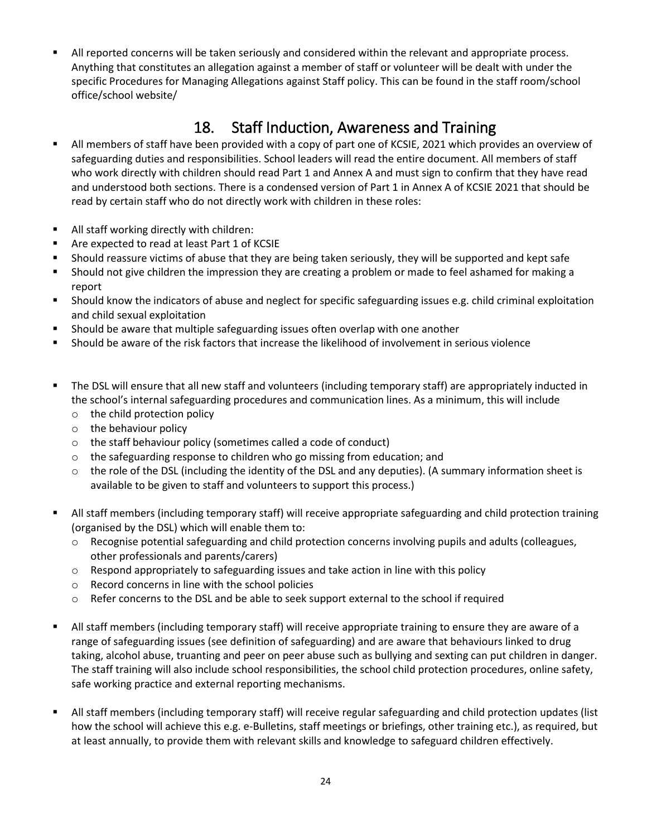All reported concerns will be taken seriously and considered within the relevant and appropriate process. Anything that constitutes an allegation against a member of staff or volunteer will be dealt with under the specific Procedures for Managing Allegations against Staff policy. This can be found in the staff room/school office/school website/

# 18. Staff Induction, Awareness and Training

- <span id="page-23-0"></span>▪ All members of staff have been provided with a copy of part one of KCSIE, 2021 which provides an overview of safeguarding duties and responsibilities. School leaders will read the entire document. All members of staff who work directly with children should read Part 1 and Annex A and must sign to confirm that they have read and understood both sections. There is a condensed version of Part 1 in Annex A of KCSIE 2021 that should be read by certain staff who do not directly work with children in these roles:
- All staff working directly with children:
- Are expected to read at least Part 1 of KCSIE
- Should reassure victims of abuse that they are being taken seriously, they will be supported and kept safe
- Should not give children the impression they are creating a problem or made to feel ashamed for making a report
- Should know the indicators of abuse and neglect for specific safeguarding issues e.g. child criminal exploitation and child sexual exploitation
- Should be aware that multiple safeguarding issues often overlap with one another
- Should be aware of the risk factors that increase the likelihood of involvement in serious violence
- The DSL will ensure that all new staff and volunteers (including temporary staff) are appropriately inducted in the school's internal safeguarding procedures and communication lines. As a minimum, this will include
	- o the child protection policy
	- o the behaviour policy
	- o the staff behaviour policy (sometimes called a code of conduct)
	- $\circ$  the safeguarding response to children who go missing from education; and
	- $\circ$  the role of the DSL (including the identity of the DSL and any deputies). (A summary information sheet is available to be given to staff and volunteers to support this process.)
- All staff members (including temporary staff) will receive appropriate safeguarding and child protection training (organised by the DSL) which will enable them to:
	- $\circ$  Recognise potential safeguarding and child protection concerns involving pupils and adults (colleagues, other professionals and parents/carers)
	- o Respond appropriately to safeguarding issues and take action in line with this policy
	- o Record concerns in line with the school policies
	- o Refer concerns to the DSL and be able to seek support external to the school if required
- All staff members (including temporary staff) will receive appropriate training to ensure they are aware of a range of safeguarding issues (see definition of safeguarding) and are aware that behaviours linked to drug taking, alcohol abuse, truanting and peer on peer abuse such as bullying and sexting can put children in danger. The staff training will also include school responsibilities, the school child protection procedures, online safety, safe working practice and external reporting mechanisms.
- All staff members (including temporary staff) will receive regular safeguarding and child protection updates (list how the school will achieve this e.g. e-Bulletins, staff meetings or briefings, other training etc.), as required, but at least annually, to provide them with relevant skills and knowledge to safeguard children effectively.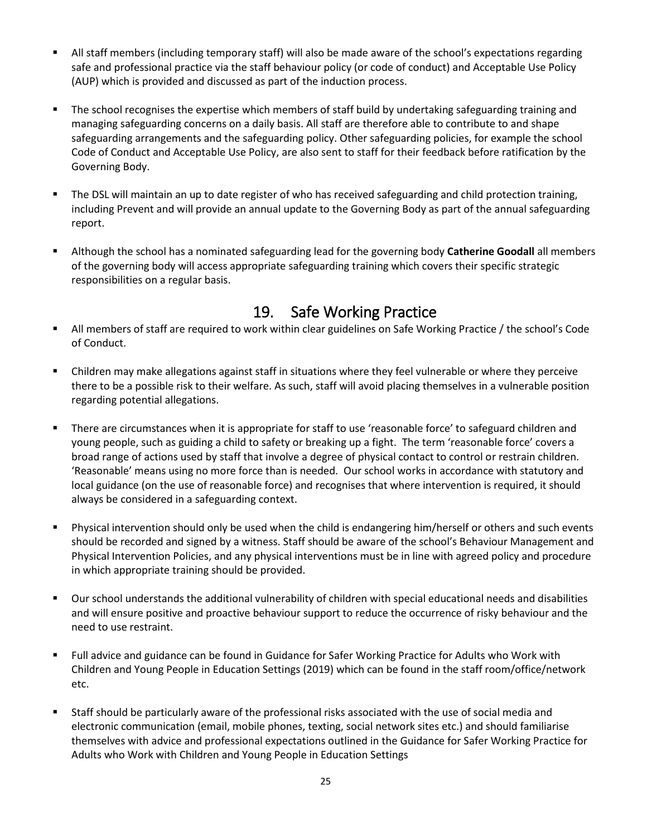- All staff members (including temporary staff) will also be made aware of the school's expectations regarding safe and professional practice via the staff behaviour policy (or code of conduct) and Acceptable Use Policy (AUP) which is provided and discussed as part of the induction process.
- **•** The school recognises the expertise which members of staff build by undertaking safeguarding training and managing safeguarding concerns on a daily basis. All staff are therefore able to contribute to and shape safeguarding arrangements and the safeguarding policy. Other safeguarding policies, for example the school Code of Conduct and Acceptable Use Policy, are also sent to staff for their feedback before ratification by the Governing Body.
- The DSL will maintain an up to date register of who has received safeguarding and child protection training, including Prevent and will provide an annual update to the Governing Body as part of the annual safeguarding report.
- Although the school has a nominated safeguarding lead for the governing body **Catherine Goodall** all members of the governing body will access appropriate safeguarding training which covers their specific strategic responsibilities on a regular basis.

# 19. Safe Working Practice

- <span id="page-24-0"></span>▪ All members of staff are required to work within clear guidelines on Safe Working Practice / the school's Code of Conduct.
- Children may make allegations against staff in situations where they feel vulnerable or where they perceive there to be a possible risk to their welfare. As such, staff will avoid placing themselves in a vulnerable position regarding potential allegations.
- There are circumstances when it is appropriate for staff to use 'reasonable force' to safeguard children and young people, such as guiding a child to safety or breaking up a fight. The term 'reasonable force' covers a broad range of actions used by staff that involve a degree of physical contact to control or restrain children. 'Reasonable' means using no more force than is needed. Our school works in accordance with statutory and local guidance (on the use of reasonable force) and recognises that where intervention is required, it should always be considered in a safeguarding context.
- Physical intervention should only be used when the child is endangering him/herself or others and such events should be recorded and signed by a witness. Staff should be aware of the school's Behaviour Management and Physical Intervention Policies, and any physical interventions must be in line with agreed policy and procedure in which appropriate training should be provided.
- Our school understands the additional vulnerability of children with special educational needs and disabilities and will ensure positive and proactive behaviour support to reduce the occurrence of risky behaviour and the need to use restraint.
- Full advice and guidance can be found in Guidance for Safer Working Practice for Adults who Work with Children and Young People in Education Settings (2019) which can be found in the staff room/office/network etc.
- Staff should be particularly aware of the professional risks associated with the use of social media and electronic communication (email, mobile phones, texting, social network sites etc.) and should familiarise themselves with advice and professional expectations outlined in the Guidance for Safer Working Practice for Adults who Work with Children and Young People in Education Settings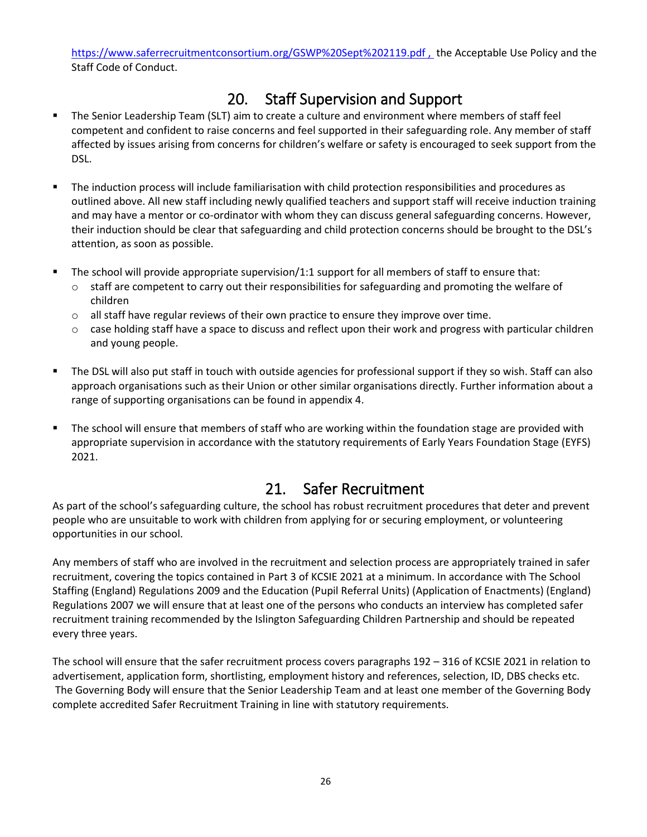[https://www.saferrecruitmentconsortium.org/GSWP%20Sept%202119.pdf ,](https://www.saferrecruitmentconsortium.org/GSWP%20Sept%202019.pdf%20,) the Acceptable Use Policy and the Staff Code of Conduct.

# 20. Staff Supervision and Support

- <span id="page-25-0"></span>The Senior Leadership Team (SLT) aim to create a culture and environment where members of staff feel competent and confident to raise concerns and feel supported in their safeguarding role. Any member of staff affected by issues arising from concerns for children's welfare or safety is encouraged to seek support from the DSL.
- The induction process will include familiarisation with child protection responsibilities and procedures as outlined above. All new staff including newly qualified teachers and support staff will receive induction training and may have a mentor or co-ordinator with whom they can discuss general safeguarding concerns. However, their induction should be clear that safeguarding and child protection concerns should be brought to the DSL's attention, as soon as possible.
- The school will provide appropriate supervision/1:1 support for all members of staff to ensure that:
	- $\circ$  staff are competent to carry out their responsibilities for safeguarding and promoting the welfare of children
	- $\circ$  all staff have regular reviews of their own practice to ensure they improve over time.
	- $\circ$  case holding staff have a space to discuss and reflect upon their work and progress with particular children and young people.
- The DSL will also put staff in touch with outside agencies for professional support if they so wish. Staff can also approach organisations such as their Union or other similar organisations directly. Further information about a range of supporting organisations can be found in appendix 4.
- The school will ensure that members of staff who are working within the foundation stage are provided with appropriate supervision in accordance with the statutory requirements of Early Years Foundation Stage (EYFS) 2021.

## 21. Safer Recruitment

<span id="page-25-1"></span>As part of the school's safeguarding culture, the school has robust recruitment procedures that deter and prevent people who are unsuitable to work with children from applying for or securing employment, or volunteering opportunities in our school.

Any members of staff who are involved in the recruitment and selection process are appropriately trained in safer recruitment, covering the topics contained in Part 3 of KCSIE 2021 at a minimum. In accordance with The School Staffing (England) Regulations 2009 and the Education (Pupil Referral Units) (Application of Enactments) (England) Regulations 2007 we will ensure that at least one of the persons who conducts an interview has completed safer recruitment training recommended by the Islington Safeguarding Children Partnership and should be repeated every three years.

The school will ensure that the safer recruitment process covers paragraphs 192 – 316 of KCSIE 2021 in relation to advertisement, application form, shortlisting, employment history and references, selection, ID, DBS checks etc. The Governing Body will ensure that the Senior Leadership Team and at least one member of the Governing Body complete accredited Safer Recruitment Training in line with statutory requirements.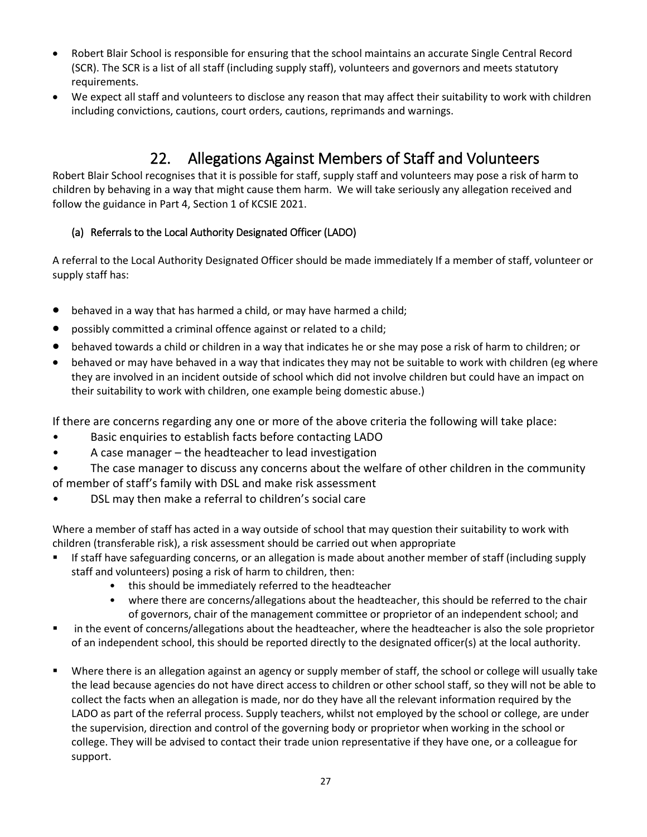- Robert Blair School is responsible for ensuring that the school maintains an accurate Single Central Record (SCR). The SCR is a list of all staff (including supply staff), volunteers and governors and meets statutory requirements.
- We expect all staff and volunteers to disclose any reason that may affect their suitability to work with children including convictions, cautions, court orders, cautions, reprimands and warnings.

# 22. Allegations Against Members of Staff and Volunteers

<span id="page-26-0"></span>Robert Blair School recognises that it is possible for staff, supply staff and volunteers may pose a risk of harm to children by behaving in a way that might cause them harm. We will take seriously any allegation received and follow the guidance in Part 4, Section 1 of KCSIE 2021.

### <span id="page-26-1"></span>(a) Referrals to the Local Authority Designated Officer (LADO)

A referral to the Local Authority Designated Officer should be made immediately If a member of staff, volunteer or supply staff has:

- behaved in a way that has harmed a child, or may have harmed a child;
- possibly committed a criminal offence against or related to a child;
- behaved towards a child or children in a way that indicates he or she may pose a risk of harm to children; or
- behaved or may have behaved in a way that indicates they may not be suitable to work with children (eg where they are involved in an incident outside of school which did not involve children but could have an impact on their suitability to work with children, one example being domestic abuse.)

If there are concerns regarding any one or more of the above criteria the following will take place:

- Basic enquiries to establish facts before contacting LADO
- A case manager the headteacher to lead investigation
- The case manager to discuss any concerns about the welfare of other children in the community of member of staff's family with DSL and make risk assessment
- DSL may then make a referral to children's social care

Where a member of staff has acted in a way outside of school that may question their suitability to work with children (transferable risk), a risk assessment should be carried out when appropriate

- If staff have safeguarding concerns, or an allegation is made about another member of staff (including supply staff and volunteers) posing a risk of harm to children, then:
	- this should be immediately referred to the headteacher
	- where there are concerns/allegations about the headteacher, this should be referred to the chair of governors, chair of the management committee or proprietor of an independent school; and
- in the event of concerns/allegations about the headteacher, where the headteacher is also the sole proprietor of an independent school, this should be reported directly to the designated officer(s) at the local authority.
- Where there is an allegation against an agency or supply member of staff, the school or college will usually take the lead because agencies do not have direct access to children or other school staff, so they will not be able to collect the facts when an allegation is made, nor do they have all the relevant information required by the LADO as part of the referral process. Supply teachers, whilst not employed by the school or college, are under the supervision, direction and control of the governing body or proprietor when working in the school or college. They will be advised to contact their trade union representative if they have one, or a colleague for support.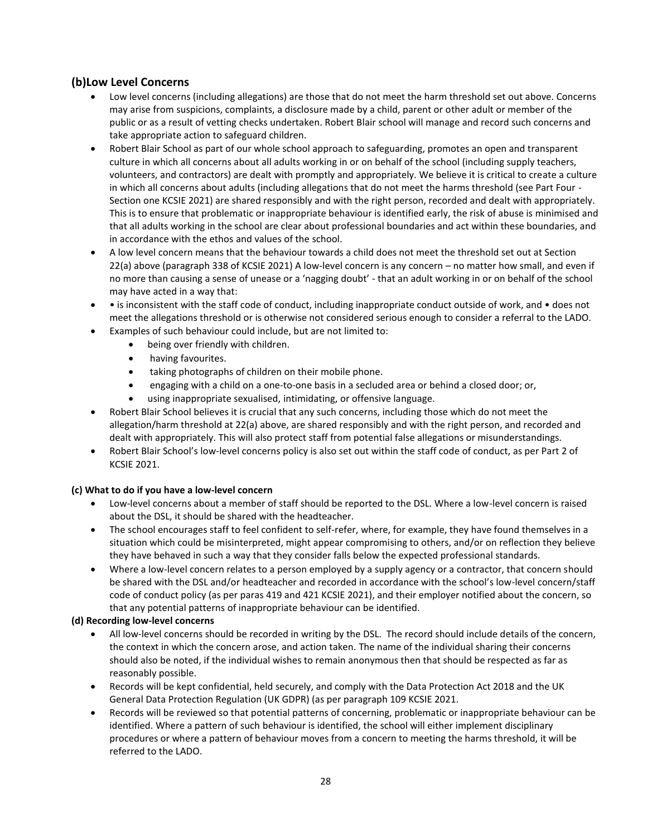### <span id="page-27-0"></span>**(b)Low Level Concerns**

- Low level concerns (including allegations) are those that do not meet the harm threshold set out above. Concerns may arise from suspicions, complaints, a disclosure made by a child, parent or other adult or member of the public or as a result of vetting checks undertaken. Robert Blair school will manage and record such concerns and take appropriate action to safeguard children.
- Robert Blair School as part of our whole school approach to safeguarding, promotes an open and transparent culture in which all concerns about all adults working in or on behalf of the school (including supply teachers, volunteers, and contractors) are dealt with promptly and appropriately. We believe it is critical to create a culture in which all concerns about adults (including allegations that do not meet the harms threshold (see Part Four - Section one KCSIE 2021) are shared responsibly and with the right person, recorded and dealt with appropriately. This is to ensure that problematic or inappropriate behaviour is identified early, the risk of abuse is minimised and that all adults working in the school are clear about professional boundaries and act within these boundaries, and in accordance with the ethos and values of the school.
- A low level concern means that the behaviour towards a child does not meet the threshold set out at Section 22(a) above (paragraph 338 of KCSIE 2021) A low-level concern is any concern – no matter how small, and even if no more than causing a sense of unease or a 'nagging doubt' - that an adult working in or on behalf of the school may have acted in a way that:
- • is inconsistent with the staff code of conduct, including inappropriate conduct outside of work, and does not meet the allegations threshold or is otherwise not considered serious enough to consider a referral to the LADO.
- Examples of such behaviour could include, but are not limited to:
	- being over friendly with children.
		- having favourites.
		- taking photographs of children on their mobile phone.
		- engaging with a child on a one-to-one basis in a secluded area or behind a closed door; or,
		- using inappropriate sexualised, intimidating, or offensive language.
- Robert Blair School believes it is crucial that any such concerns, including those which do not meet the allegation/harm threshold at 22(a) above, are shared responsibly and with the right person, and recorded and dealt with appropriately. This will also protect staff from potential false allegations or misunderstandings.
- Robert Blair School's low-level concerns policy is also set out within the staff code of conduct, as per Part 2 of KCSIE 2021.

#### <span id="page-27-1"></span>**(c) What to do if you have a low-level concern**

- Low-level concerns about a member of staff should be reported to the DSL. Where a low-level concern is raised about the DSL, it should be shared with the headteacher.
- The school encourages staff to feel confident to self-refer, where, for example, they have found themselves in a situation which could be misinterpreted, might appear compromising to others, and/or on reflection they believe they have behaved in such a way that they consider falls below the expected professional standards.
- Where a low-level concern relates to a person employed by a supply agency or a contractor, that concern should be shared with the DSL and/or headteacher and recorded in accordance with the school's low-level concern/staff code of conduct policy (as per paras 419 and 421 KCSIE 2021), and their employer notified about the concern, so that any potential patterns of inappropriate behaviour can be identified.

#### <span id="page-27-2"></span>**(d) Recording low-level concerns**

- All low-level concerns should be recorded in writing by the DSL. The record should include details of the concern, the context in which the concern arose, and action taken. The name of the individual sharing their concerns should also be noted, if the individual wishes to remain anonymous then that should be respected as far as reasonably possible.
- Records will be kept confidential, held securely, and comply with the Data Protection Act 2018 and the UK General Data Protection Regulation (UK GDPR) (as per paragraph 109 KCSIE 2021.
- Records will be reviewed so that potential patterns of concerning, problematic or inappropriate behaviour can be identified. Where a pattern of such behaviour is identified, the school will either implement disciplinary procedures or where a pattern of behaviour moves from a concern to meeting the harms threshold, it will be referred to the LADO.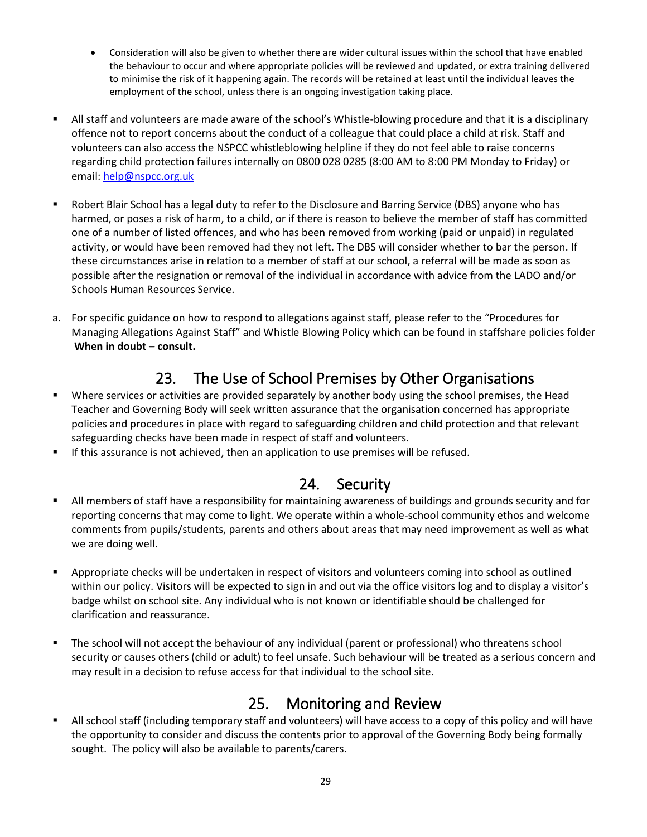- Consideration will also be given to whether there are wider cultural issues within the school that have enabled the behaviour to occur and where appropriate policies will be reviewed and updated, or extra training delivered to minimise the risk of it happening again. The records will be retained at least until the individual leaves the employment of the school, unless there is an ongoing investigation taking place.
- All staff and volunteers are made aware of the school's Whistle-blowing procedure and that it is a disciplinary offence not to report concerns about the conduct of a colleague that could place a child at risk. Staff and volunteers can also access the NSPCC whistleblowing helpline if they do not feel able to raise concerns regarding child protection failures internally on 0800 028 0285 (8:00 AM to 8:00 PM Monday to Friday) or email[: help@nspcc.org.uk](mailto:help@nspcc.org.uk)
- Robert Blair School has a legal duty to refer to the Disclosure and Barring Service (DBS) anyone who has harmed, or poses a risk of harm, to a child, or if there is reason to believe the member of staff has committed one of a number of listed offences, and who has been removed from working (paid or unpaid) in regulated activity, or would have been removed had they not left. The DBS will consider whether to bar the person. If these circumstances arise in relation to a member of staff at our school, a referral will be made as soon as possible after the resignation or removal of the individual in accordance with advice from the LADO and/or Schools Human Resources Service.
- a. For specific guidance on how to respond to allegations against staff, please refer to the "Procedures for Managing Allegations Against Staff" and Whistle Blowing Policy which can be found in staffshare policies folder **When in doubt – consult.**

# 23. The Use of School Premises by Other Organisations

- <span id="page-28-0"></span>Where services or activities are provided separately by another body using the school premises, the Head Teacher and Governing Body will seek written assurance that the organisation concerned has appropriate policies and procedures in place with regard to safeguarding children and child protection and that relevant safeguarding checks have been made in respect of staff and volunteers.
- If this assurance is not achieved, then an application to use premises will be refused.

# 24. Security

- <span id="page-28-1"></span>▪ All members of staff have a responsibility for maintaining awareness of buildings and grounds security and for reporting concerns that may come to light. We operate within a whole-school community ethos and welcome comments from pupils/students, parents and others about areas that may need improvement as well as what we are doing well.
- Appropriate checks will be undertaken in respect of visitors and volunteers coming into school as outlined within our policy. Visitors will be expected to sign in and out via the office visitors log and to display a visitor's badge whilst on school site. Any individual who is not known or identifiable should be challenged for clarification and reassurance.
- The school will not accept the behaviour of any individual (parent or professional) who threatens school security or causes others (child or adult) to feel unsafe. Such behaviour will be treated as a serious concern and may result in a decision to refuse access for that individual to the school site.

# 25. Monitoring and Review

<span id="page-28-2"></span>All school staff (including temporary staff and volunteers) will have access to a copy of this policy and will have the opportunity to consider and discuss the contents prior to approval of the Governing Body being formally sought. The policy will also be available to parents/carers.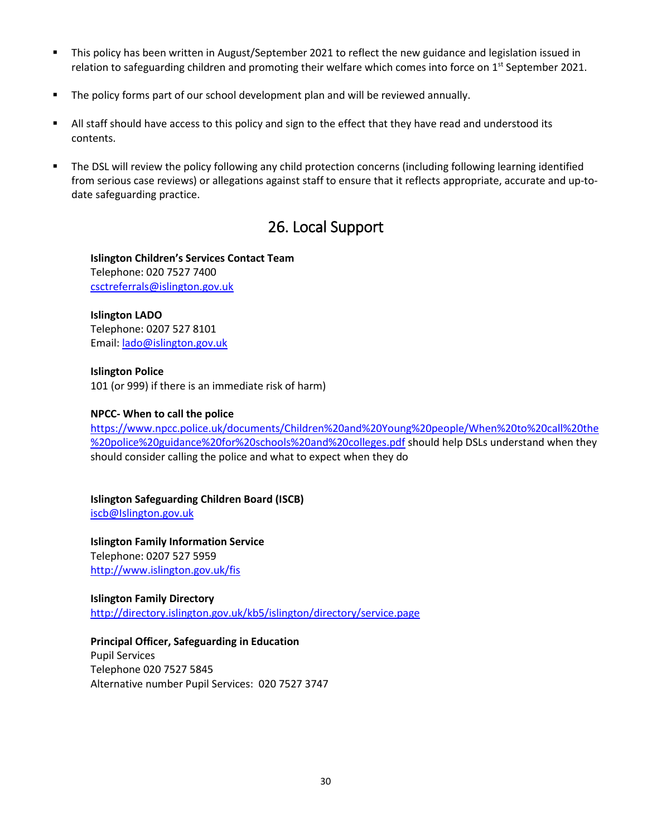- This policy has been written in August/September 2021 to reflect the new guidance and legislation issued in relation to safeguarding children and promoting their welfare which comes into force on 1<sup>st</sup> September 2021.
- The policy forms part of our school development plan and will be reviewed annually.
- All staff should have access to this policy and sign to the effect that they have read and understood its contents.
- The DSL will review the policy following any child protection concerns (including following learning identified from serious case reviews) or allegations against staff to ensure that it reflects appropriate, accurate and up-todate safeguarding practice.

# 26. Local Support

<span id="page-29-0"></span>**Islington Children's Services Contact Team** Telephone: 020 7527 7400 [csctreferrals@islington.gov.uk](mailto:csctreferrals@islington.gov.uk)

**Islington LADO** Telephone: 0207 527 8101 Email: [lado@islington.gov.uk](mailto:lado@islington.gov.uk)

**Islington Police** 101 (or 999) if there is an immediate risk of harm)

#### **NPCC- When to call the police**

[https://www.npcc.police.uk/documents/Children%20and%20Young%20people/When%20to%20call%20the](https://www.npcc.police.uk/documents/Children%20and%20Young%20people/When%20to%20call%20the%20police%20guidance%20for%20schools%20and%20colleges.pdf) [%20police%20guidance%20for%20schools%20and%20colleges.pdf](https://www.npcc.police.uk/documents/Children%20and%20Young%20people/When%20to%20call%20the%20police%20guidance%20for%20schools%20and%20colleges.pdf) should help DSLs understand when they should consider calling the police and what to expect when they do

**Islington Safeguarding Children Board (ISCB)**

[iscb@Islington.gov.uk](mailto:iscb@Islington.gov.uk)

**Islington Family Information Service** Telephone: 0207 527 5959 <http://www.islington.gov.uk/fis>

**Islington Family Directory** <http://directory.islington.gov.uk/kb5/islington/directory/service.page>

**Principal Officer, Safeguarding in Education** Pupil Services Telephone 020 7527 5845 Alternative number Pupil Services: 020 7527 3747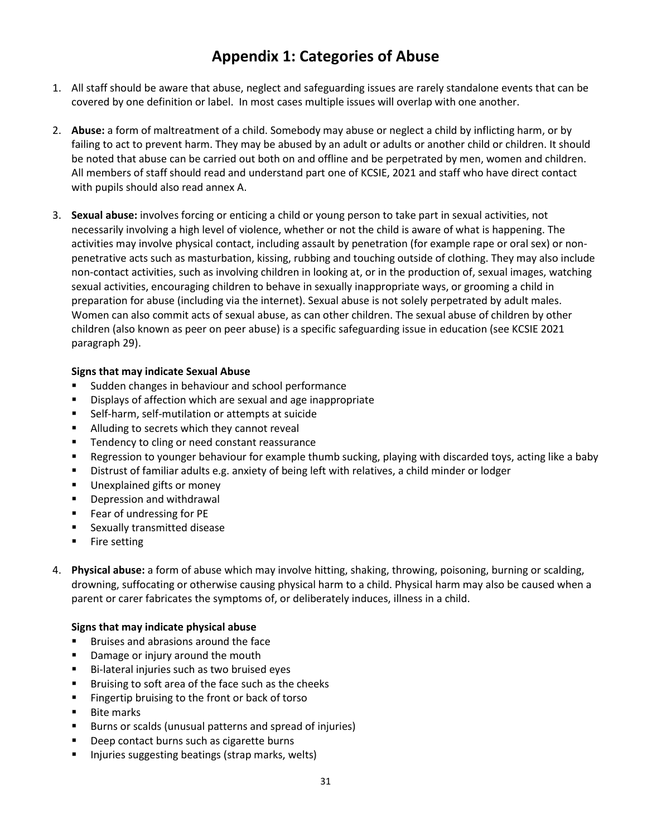# **Appendix 1: Categories of Abuse**

- <span id="page-30-0"></span>1. All staff should be aware that abuse, neglect and safeguarding issues are rarely standalone events that can be covered by one definition or label. In most cases multiple issues will overlap with one another.
- 2. **Abuse:** a form of maltreatment of a child. Somebody may abuse or neglect a child by inflicting harm, or by failing to act to prevent harm. They may be abused by an adult or adults or another child or children. It should be noted that abuse can be carried out both on and offline and be perpetrated by men, women and children. All members of staff should read and understand part one of KCSIE, 2021 and staff who have direct contact with pupils should also read annex A.
- 3. **Sexual abuse:** involves forcing or enticing a child or young person to take part in sexual activities, not necessarily involving a high level of violence, whether or not the child is aware of what is happening. The activities may involve physical contact, including assault by penetration (for example rape or oral sex) or nonpenetrative acts such as masturbation, kissing, rubbing and touching outside of clothing. They may also include non-contact activities, such as involving children in looking at, or in the production of, sexual images, watching sexual activities, encouraging children to behave in sexually inappropriate ways, or grooming a child in preparation for abuse (including via the internet). Sexual abuse is not solely perpetrated by adult males. Women can also commit acts of sexual abuse, as can other children. The sexual abuse of children by other children (also known as peer on peer abuse) is a specific safeguarding issue in education (see KCSIE 2021 paragraph 29).

#### **Signs that may indicate Sexual Abuse**

- Sudden changes in behaviour and school performance
- Displays of affection which are sexual and age inappropriate
- Self-harm, self-mutilation or attempts at suicide
- Alluding to secrets which they cannot reveal
- Tendency to cling or need constant reassurance
- Regression to younger behaviour for example thumb sucking, playing with discarded toys, acting like a baby
- Distrust of familiar adults e.g. anxiety of being left with relatives, a child minder or lodger
- Unexplained gifts or money
- Depression and withdrawal
- Fear of undressing for PE
- Sexually transmitted disease
- Fire setting
- 4. **Physical abuse:** a form of abuse which may involve hitting, shaking, throwing, poisoning, burning or scalding, drowning, suffocating or otherwise causing physical harm to a child. Physical harm may also be caused when a parent or carer fabricates the symptoms of, or deliberately induces, illness in a child.

### **Signs that may indicate physical abuse**

- Bruises and abrasions around the face
- Damage or injury around the mouth
- Bi-lateral injuries such as two bruised eyes
- Bruising to soft area of the face such as the cheeks
- Fingertip bruising to the front or back of torso
- Bite marks
- Burns or scalds (unusual patterns and spread of injuries)
- Deep contact burns such as cigarette burns
- Injuries suggesting beatings (strap marks, welts)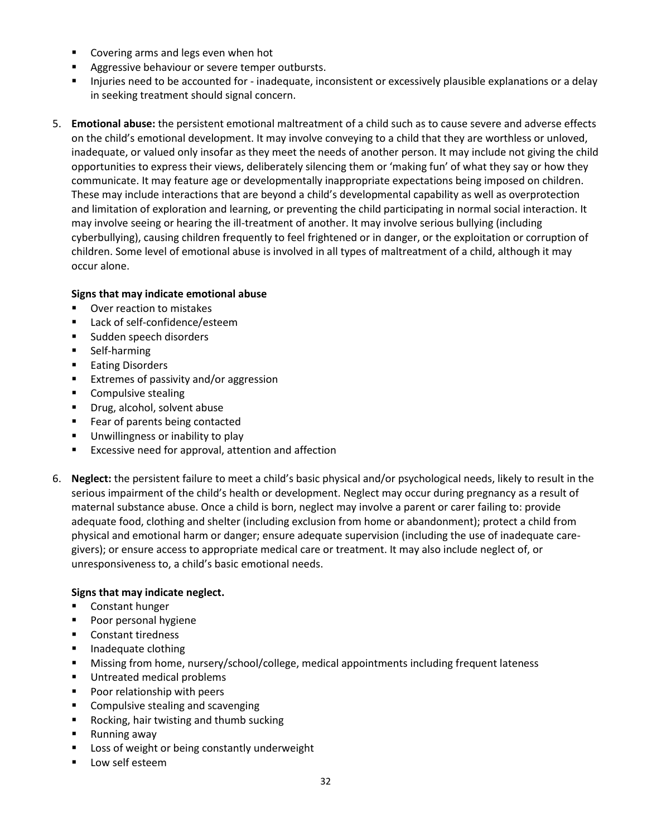- Covering arms and legs even when hot
- Aggressive behaviour or severe temper outbursts.
- **EXECT** Injuries need to be accounted for inadequate, inconsistent or excessively plausible explanations or a delay in seeking treatment should signal concern.
- 5. **Emotional abuse:** the persistent emotional maltreatment of a child such as to cause severe and adverse effects on the child's emotional development. It may involve conveying to a child that they are worthless or unloved, inadequate, or valued only insofar as they meet the needs of another person. It may include not giving the child opportunities to express their views, deliberately silencing them or 'making fun' of what they say or how they communicate. It may feature age or developmentally inappropriate expectations being imposed on children. These may include interactions that are beyond a child's developmental capability as well as overprotection and limitation of exploration and learning, or preventing the child participating in normal social interaction. It may involve seeing or hearing the ill-treatment of another. It may involve serious bullying (including cyberbullying), causing children frequently to feel frightened or in danger, or the exploitation or corruption of children. Some level of emotional abuse is involved in all types of maltreatment of a child, although it may occur alone.

### **Signs that may indicate emotional abuse**

- Over reaction to mistakes
- Lack of self-confidence/esteem
- Sudden speech disorders
- Self-harming
- Eating Disorders
- Extremes of passivity and/or aggression
- Compulsive stealing
- Drug, alcohol, solvent abuse
- Fear of parents being contacted
- Unwillingness or inability to play
- Excessive need for approval, attention and affection
- 6. **Neglect:** the persistent failure to meet a child's basic physical and/or psychological needs, likely to result in the serious impairment of the child's health or development. Neglect may occur during pregnancy as a result of maternal substance abuse. Once a child is born, neglect may involve a parent or carer failing to: provide adequate food, clothing and shelter (including exclusion from home or abandonment); protect a child from physical and emotional harm or danger; ensure adequate supervision (including the use of inadequate caregivers); or ensure access to appropriate medical care or treatment. It may also include neglect of, or unresponsiveness to, a child's basic emotional needs.

### **Signs that may indicate neglect.**

- Constant hunger
- Poor personal hygiene
- Constant tiredness
- Inadequate clothing
- Missing from home, nursery/school/college, medical appointments including frequent lateness
- Untreated medical problems
- Poor relationship with peers
- Compulsive stealing and scavenging
- Rocking, hair twisting and thumb sucking
- Running away
- Loss of weight or being constantly underweight
- Low self esteem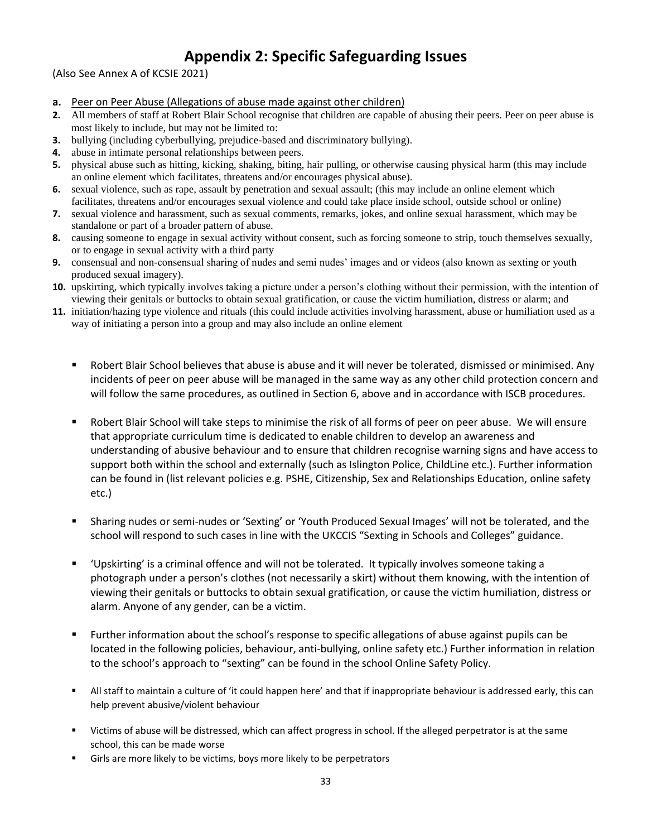# **Appendix 2: Specific Safeguarding Issues**

<span id="page-32-0"></span>(Also See Annex A of KCSIE 2021)

- **a.** Peer on Peer Abuse (Allegations of abuse made against other children)
- **2.** All members of staff at Robert Blair School recognise that children are capable of abusing their peers. Peer on peer abuse is most likely to include, but may not be limited to:
- **3.** bullying (including cyberbullying, prejudice-based and discriminatory bullying).
- **4.** abuse in intimate personal relationships between peers.
- **5.** physical abuse such as hitting, kicking, shaking, biting, hair pulling, or otherwise causing physical harm (this may include an online element which facilitates, threatens and/or encourages physical abuse).
- **6.** sexual violence, such as rape, assault by penetration and sexual assault; (this may include an online element which facilitates, threatens and/or encourages sexual violence and could take place inside school, outside school or online)
- **7.** sexual violence and harassment, such as sexual comments, remarks, jokes, and online sexual harassment, which may be standalone or part of a broader pattern of abuse.
- **8.** causing someone to engage in sexual activity without consent, such as forcing someone to strip, touch themselves sexually, or to engage in sexual activity with a third party
- **9.** consensual and non-consensual sharing of nudes and semi nudes' images and or videos (also known as sexting or youth produced sexual imagery).
- **10.** upskirting, which typically involves taking a picture under a person's clothing without their permission, with the intention of viewing their genitals or buttocks to obtain sexual gratification, or cause the victim humiliation, distress or alarm; and
- **11.** initiation/hazing type violence and rituals (this could include activities involving harassment, abuse or humiliation used as a way of initiating a person into a group and may also include an online element
	- Robert Blair School believes that abuse is abuse and it will never be tolerated, dismissed or minimised. Any incidents of peer on peer abuse will be managed in the same way as any other child protection concern and will follow the same procedures, as outlined in Section 6, above and in accordance with ISCB procedures.
	- Robert Blair School will take steps to minimise the risk of all forms of peer on peer abuse. We will ensure that appropriate curriculum time is dedicated to enable children to develop an awareness and understanding of abusive behaviour and to ensure that children recognise warning signs and have access to support both within the school and externally (such as Islington Police, ChildLine etc.). Further information can be found in (list relevant policies e.g. PSHE, Citizenship, Sex and Relationships Education, online safety etc.)
	- Sharing nudes or semi-nudes or 'Sexting' or 'Youth Produced Sexual Images' will not be tolerated, and the school will respond to such cases in line with the UKCCIS "Sexting in Schools and Colleges" guidance.
	- 'Upskirting' is a criminal offence and will not be tolerated. It typically involves someone taking a photograph under a person's clothes (not necessarily a skirt) without them knowing, with the intention of viewing their genitals or buttocks to obtain sexual gratification, or cause the victim humiliation, distress or alarm. Anyone of any gender, can be a victim.
	- Further information about the school's response to specific allegations of abuse against pupils can be located in the following policies, behaviour, anti-bullying, online safety etc.) Further information in relation to the school's approach to "sexting" can be found in the school Online Safety Policy.
	- All staff to maintain a culture of 'it could happen here' and that if inappropriate behaviour is addressed early, this can help prevent abusive/violent behaviour
	- Victims of abuse will be distressed, which can affect progress in school. If the alleged perpetrator is at the same school, this can be made worse
	- Girls are more likely to be victims, boys more likely to be perpetrators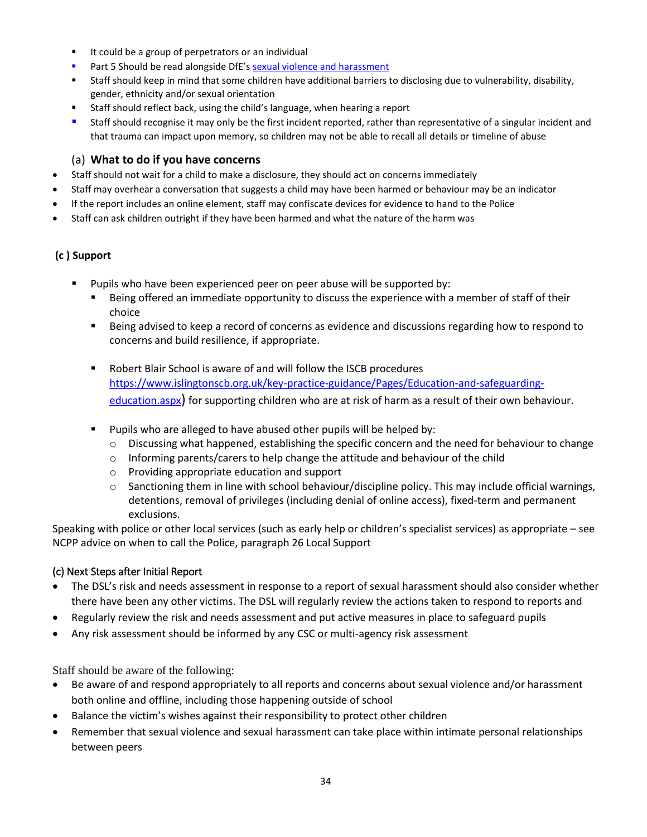- It could be a group of perpetrators or an individual
- Part 5 Should be read alongside DfE's [sexual violence and harassment](https://www.gov.uk/government/publications/sexual-violence-and-sexual-harassment-between-children-in-schools-and-colleges)
- Staff should keep in mind that some children have additional barriers to disclosing due to vulnerability, disability, gender, ethnicity and/or sexual orientation
- Staff should reflect back, using the child's language, when hearing a report
- Staff should recognise it may only be the first incident reported, rather than representative of a singular incident and that trauma can impact upon memory, so children may not be able to recall all details or timeline of abuse

### (a) **What to do if you have concerns**

- <span id="page-33-0"></span>• Staff should not wait for a child to make a disclosure, they should act on concerns immediately
- Staff may overhear a conversation that suggests a child may have been harmed or behaviour may be an indicator
- If the report includes an online element, staff may confiscate devices for evidence to hand to the Police
- Staff can ask children outright if they have been harmed and what the nature of the harm was

### **(c ) Support**

- **•** Pupils who have been experienced peer on peer abuse will be supported by:
	- Being offered an immediate opportunity to discuss the experience with a member of staff of their choice
	- Being advised to keep a record of concerns as evidence and discussions regarding how to respond to concerns and build resilience, if appropriate.
	- Robert Blair School is aware of and will follow the ISCB procedures [https://www.islingtonscb.org.uk/key-practice-guidance/Pages/Education-and-safeguarding](https://www.islingtonscb.org.uk/key-practice-guidance/Pages/Education-and-safeguarding-education.aspx)[education.aspx](https://www.islingtonscb.org.uk/key-practice-guidance/Pages/Education-and-safeguarding-education.aspx)) for supporting children who are at risk of harm as a result of their own behaviour.
	- Pupils who are alleged to have abused other pupils will be helped by:
		- $\circ$  Discussing what happened, establishing the specific concern and the need for behaviour to change
		- $\circ$  Informing parents/carers to help change the attitude and behaviour of the child
		- o Providing appropriate education and support
		- $\circ$  Sanctioning them in line with school behaviour/discipline policy. This may include official warnings, detentions, removal of privileges (including denial of online access), fixed-term and permanent exclusions.

<span id="page-33-1"></span>Speaking with police or other local services (such as early help or children's specialist services) as appropriate – see NCPP advice on when to call the Police, paragraph 26 Local Support

### <span id="page-33-2"></span>(c) Next Steps after Initial Report

- The DSL's risk and needs assessment in response to a report of sexual harassment should also consider whether there have been any other victims. The DSL will regularly review the actions taken to respond to reports and
- Regularly review the risk and needs assessment and put active measures in place to safeguard pupils
- Any risk assessment should be informed by any CSC or multi-agency risk assessment

Staff should be aware of the following:

- Be aware of and respond appropriately to all reports and concerns about sexual violence and/or harassment both online and offline, including those happening outside of school
- Balance the victim's wishes against their responsibility to protect other children
- Remember that sexual violence and sexual harassment can take place within intimate personal relationships between peers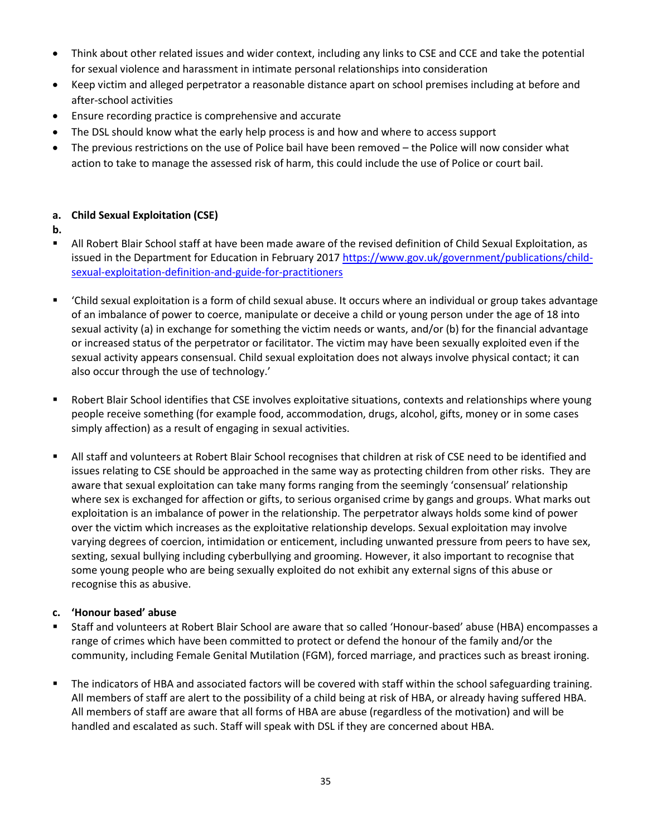- Think about other related issues and wider context, including any links to CSE and CCE and take the potential for sexual violence and harassment in intimate personal relationships into consideration
- Keep victim and alleged perpetrator a reasonable distance apart on school premises including at before and after-school activities
- Ensure recording practice is comprehensive and accurate
- The DSL should know what the early help process is and how and where to access support
- The previous restrictions on the use of Police bail have been removed the Police will now consider what action to take to manage the assessed risk of harm, this could include the use of Police or court bail.

### **a. Child Sexual Exploitation (CSE)**

- **b.**
- All Robert Blair School staff at have been made aware of the revised definition of Child Sexual Exploitation, as issued in the Department for Education in February 2017 [https://www.gov.uk/government/publications/child](https://www.gov.uk/government/publications/child-sexual-exploitation-definition-and-guide-for-practitioners)[sexual-exploitation-definition-and-guide-for-practitioners](https://www.gov.uk/government/publications/child-sexual-exploitation-definition-and-guide-for-practitioners)
- Child sexual exploitation is a form of child sexual abuse. It occurs where an individual or group takes advantage of an imbalance of power to coerce, manipulate or deceive a child or young person under the age of 18 into sexual activity (a) in exchange for something the victim needs or wants, and/or (b) for the financial advantage or increased status of the perpetrator or facilitator. The victim may have been sexually exploited even if the sexual activity appears consensual. Child sexual exploitation does not always involve physical contact; it can also occur through the use of technology.'
- Robert Blair School identifies that CSE involves exploitative situations, contexts and relationships where young people receive something (for example food, accommodation, drugs, alcohol, gifts, money or in some cases simply affection) as a result of engaging in sexual activities.
- All staff and volunteers at Robert Blair School recognises that children at risk of CSE need to be identified and issues relating to CSE should be approached in the same way as protecting children from other risks. They are aware that sexual exploitation can take many forms ranging from the seemingly 'consensual' relationship where sex is exchanged for affection or gifts, to serious organised crime by gangs and groups. What marks out exploitation is an imbalance of power in the relationship. The perpetrator always holds some kind of power over the victim which increases as the exploitative relationship develops. Sexual exploitation may involve varying degrees of coercion, intimidation or enticement, including unwanted pressure from peers to have sex, sexting, sexual bullying including cyberbullying and grooming. However, it also important to recognise that some young people who are being sexually exploited do not exhibit any external signs of this abuse or recognise this as abusive.

### **c. 'Honour based' abuse**

- Staff and volunteers at Robert Blair School are aware that so called 'Honour-based' abuse (HBA) encompasses a range of crimes which have been committed to protect or defend the honour of the family and/or the community, including Female Genital Mutilation (FGM), forced marriage, and practices such as breast ironing.
- The indicators of HBA and associated factors will be covered with staff within the school safeguarding training. All members of staff are alert to the possibility of a child being at risk of HBA, or already having suffered HBA. All members of staff are aware that all forms of HBA are abuse (regardless of the motivation) and will be handled and escalated as such. Staff will speak with DSL if they are concerned about HBA.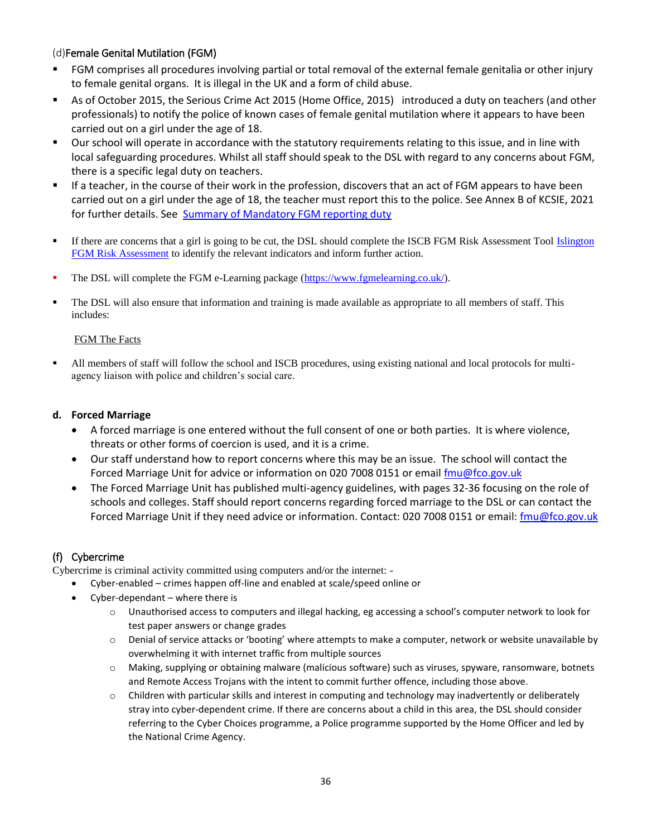### <span id="page-35-0"></span>(d)Female Genital Mutilation (FGM)

- FGM comprises all procedures involving partial or total removal of the external female genitalia or other injury to female genital organs. It is illegal in the UK and a form of child abuse.
- As of October 2015, the Serious Crime Act 2015 (Home Office, 2015) introduced a duty on teachers (and other professionals) to notify the police of known cases of female genital mutilation where it appears to have been carried out on a girl under the age of 18.
- Our school will operate in accordance with the statutory requirements relating to this issue, and in line with local safeguarding procedures. Whilst all staff should speak to the DSL with regard to any concerns about FGM, there is a specific legal duty on teachers.
- If a teacher, in the course of their work in the profession, discovers that an act of FGM appears to have been carried out on a girl under the age of 18, the teacher must report this to the police. See Annex B of KCSIE, 2021 for further details. See [Summary of Mandatory FGM reporting duty](https://assets.publishing.service.gov.uk/government/uploads/system/uploads/attachment_data/file/496415/6_1639_HO_SP_FGM_mandatory_reporting_Fact_sheet_Web.pdf)
- If there are concerns that a girl is going to be cut, the DSL should complete the ISCB FGM Risk Assessment Tool Islington [FGM Risk Assessment](https://www.islingtoncs.org/sites/default/files/files/Islington%20FGM%20Booklet%20PRINT.pdf) to identify the relevant indicators and inform further action.
- The DSL will complete the FGM e-Learning package [\(https://www.fgmelearning.co.uk/\)](https://www.fgmelearning.co.uk/).
- The DSL will also ensure that information and training is made available as appropriate to all members of staff. This includes:

#### [FGM The Facts](http://www.gov.uk/government/uploads/system/uploads/attachment_data/file/482799/6_1587_HO_MT_Updates_to_the_FGM_The_Facts_WEB.pdf)

All members of staff will follow the school and ISCB procedures, using existing national and local protocols for multiagency liaison with police and children's social care.

#### **d. Forced Marriage**

- A forced marriage is one entered without the full consent of one or both parties. It is where violence, threats or other forms of coercion is used, and it is a crime.
- Our staff understand how to report concerns where this may be an issue. The school will contact the Forced Marriage Unit for advice or information on 020 7008 0151 or email [fmu@fco.gov.uk](mailto:fmu@fco.gov.uk)
- The Forced Marriage Unit has published multi-agency guidelines, with pages 32-36 focusing on the role of schools and colleges. Staff should report concerns regarding forced marriage to the DSL or can contact the Forced Marriage Unit if they need advice or information. Contact: 020 7008 0151 or email: [fmu@fco.gov.uk](mailto:fmu@fco.gov.uk)

### <span id="page-35-1"></span>(f) Cybercrime

Cybercrime is criminal activity committed using computers and/or the internet: -

- Cyber-enabled crimes happen off-line and enabled at scale/speed online or
- Cyber-dependant where there is
	- o Unauthorised access to computers and illegal hacking, eg accessing a school's computer network to look for test paper answers or change grades
	- o Denial of service attacks or 'booting' where attempts to make a computer, network or website unavailable by overwhelming it with internet traffic from multiple sources
	- o Making, supplying or obtaining malware (malicious software) such as viruses, spyware, ransomware, botnets and Remote Access Trojans with the intent to commit further offence, including those above.
	- o Children with particular skills and interest in computing and technology may inadvertently or deliberately stray into cyber-dependent crime. If there are concerns about a child in this area, the DSL should consider referring to the Cyber Choices programme, a Police programme supported by the Home Officer and led by the National Crime Agency.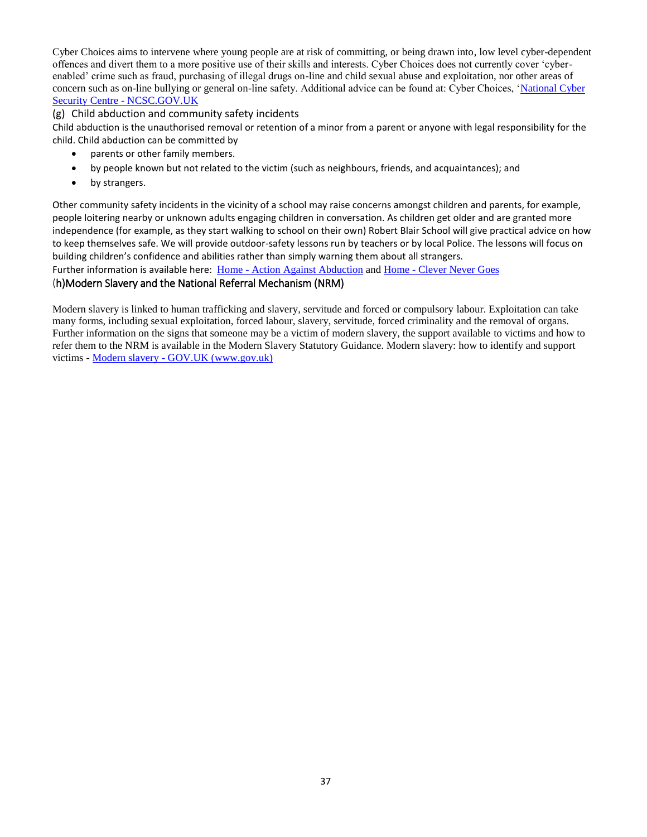Cyber Choices aims to intervene where young people are at risk of committing, or being drawn into, low level cyber-dependent offences and divert them to a more positive use of their skills and interests. Cyber Choices does not currently cover 'cyberenabled' crime such as fraud, purchasing of illegal drugs on-line and child sexual abuse and exploitation, nor other areas of concern such as on-line bullying or general on-line safety. Additional advice can be found at: Cyber Choices, ['National Cyber](https://www.ncsc.gov.uk/)  [Security Centre -](https://www.ncsc.gov.uk/) NCSC.GOV.UK

#### <span id="page-36-0"></span>(g) Child abduction and community safety incidents

Child abduction is the unauthorised removal or retention of a minor from a parent or anyone with legal responsibility for the child. Child abduction can be committed by

- parents or other family members.
- by people known but not related to the victim (such as neighbours, friends, and acquaintances); and
- by strangers.

Other community safety incidents in the vicinity of a school may raise concerns amongst children and parents, for example, people loitering nearby or unknown adults engaging children in conversation. As children get older and are granted more independence (for example, as they start walking to school on their own) Robert Blair School will give practical advice on how to keep themselves safe. We will provide outdoor-safety lessons run by teachers or by local Police. The lessons will focus on building children's confidence and abilities rather than simply warning them about all strangers.

Further information is available here: Home - [Action Against Abduction](http://www.actionagainstabduction.org/) and Home - [Clever Never Goes](https://clevernevergoes.org/)

#### <span id="page-36-1"></span>(h)Modern Slavery and the National Referral Mechanism (NRM)

Modern slavery is linked to human trafficking and slavery, servitude and forced or compulsory labour. Exploitation can take many forms, including sexual exploitation, forced labour, slavery, servitude, forced criminality and the removal of organs. Further information on the signs that someone may be a victim of modern slavery, the support available to victims and how to refer them to the NRM is available in the Modern Slavery Statutory Guidance. Modern slavery: how to identify and support victims - Modern slavery - [GOV.UK \(www.gov.uk\)](https://www.gov.uk/government/collections/modern-slavery)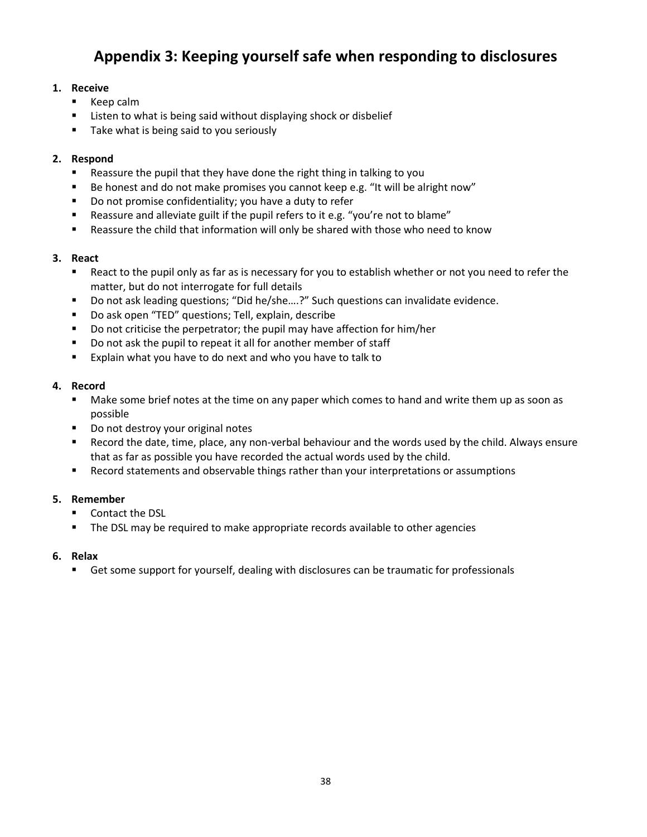# **Appendix 3: Keeping yourself safe when responding to disclosures**

### <span id="page-37-0"></span>**1. Receive**

- Keep calm
- Listen to what is being said without displaying shock or disbelief
- Take what is being said to you seriously

#### **2. Respond**

- Reassure the pupil that they have done the right thing in talking to you
- Be honest and do not make promises you cannot keep e.g. "It will be alright now"
- Do not promise confidentiality; you have a duty to refer
- Reassure and alleviate guilt if the pupil refers to it e.g. "you're not to blame"
- Reassure the child that information will only be shared with those who need to know

#### **3. React**

- React to the pupil only as far as is necessary for you to establish whether or not you need to refer the matter, but do not interrogate for full details
- Do not ask leading questions; "Did he/she....?" Such questions can invalidate evidence.
- Do ask open "TED" questions; Tell, explain, describe
- Do not criticise the perpetrator; the pupil may have affection for him/her
- Do not ask the pupil to repeat it all for another member of staff
- Explain what you have to do next and who you have to talk to

#### **4. Record**

- Make some brief notes at the time on any paper which comes to hand and write them up as soon as possible
- Do not destroy your original notes
- Record the date, time, place, any non-verbal behaviour and the words used by the child. Always ensure that as far as possible you have recorded the actual words used by the child.
- Record statements and observable things rather than your interpretations or assumptions

#### **5. Remember**

- Contact the DSL
- **■** The DSL may be required to make appropriate records available to other agencies

#### **6. Relax**

■ Get some support for yourself, dealing with disclosures can be traumatic for professionals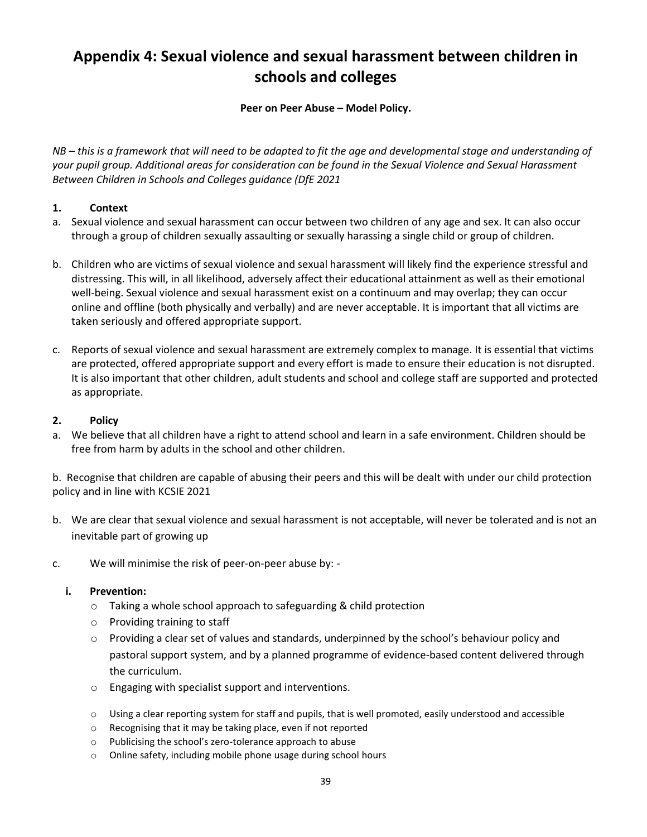# <span id="page-38-0"></span>**Appendix 4: Sexual violence and sexual harassment between children in schools and colleges**

#### **Peer on Peer Abuse – Model Policy.**

*NB – this is a framework that will need to be adapted to fit the age and developmental stage and understanding of your pupil group. Additional areas for consideration can be found in the Sexual Violence and Sexual Harassment Between Children in Schools and Colleges guidance (DfE 2021*

### **1. Context**

- a. Sexual violence and sexual harassment can occur between two children of any age and sex. It can also occur through a group of children sexually assaulting or sexually harassing a single child or group of children.
- b. Children who are victims of sexual violence and sexual harassment will likely find the experience stressful and distressing. This will, in all likelihood, adversely affect their educational attainment as well as their emotional well-being. Sexual violence and sexual harassment exist on a continuum and may overlap; they can occur online and offline (both physically and verbally) and are never acceptable. It is important that all victims are taken seriously and offered appropriate support.
- c. Reports of sexual violence and sexual harassment are extremely complex to manage. It is essential that victims are protected, offered appropriate support and every effort is made to ensure their education is not disrupted. It is also important that other children, adult students and school and college staff are supported and protected as appropriate.

### **2. Policy**

a. We believe that all children have a right to attend school and learn in a safe environment. Children should be free from harm by adults in the school and other children.

b. Recognise that children are capable of abusing their peers and this will be dealt with under our child protection policy and in line with KCSIE 2021

- b. We are clear that sexual violence and sexual harassment is not acceptable, will never be tolerated and is not an inevitable part of growing up
- c. We will minimise the risk of peer-on-peer abuse by: -

### **i. Prevention:**

- o Taking a whole school approach to safeguarding & child protection
- o Providing training to staff
- o Providing a clear set of values and standards, underpinned by the school's behaviour policy and pastoral support system, and by a planned programme of evidence-based content delivered through the curriculum.
- o Engaging with specialist support and interventions.
- o Using a clear reporting system for staff and pupils, that is well promoted, easily understood and accessible
- o Recognising that it may be taking place, even if not reported
- o Publicising the school's zero-tolerance approach to abuse
- o Online safety, including mobile phone usage during school hours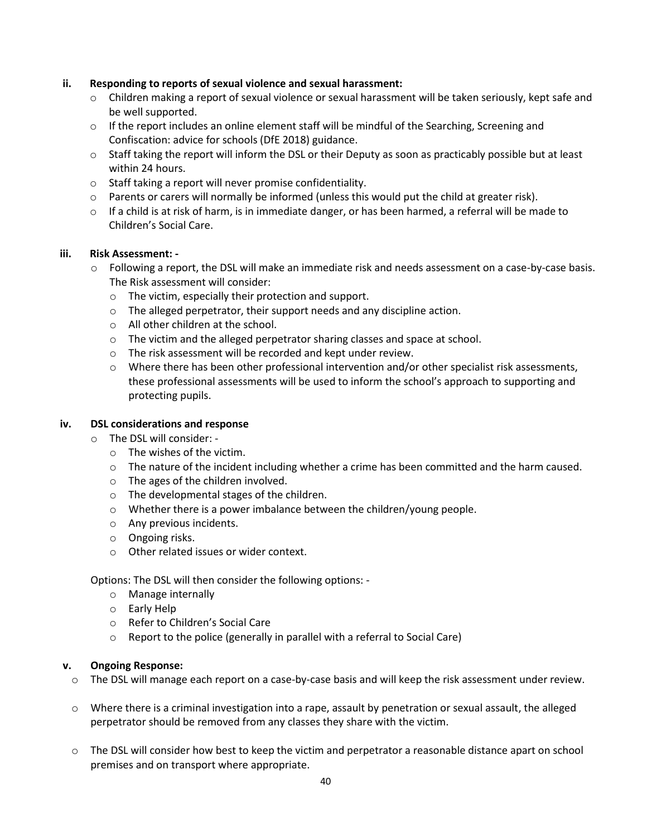#### **ii. Responding to reports of sexual violence and sexual harassment:**

- o Children making a report of sexual violence or sexual harassment will be taken seriously, kept safe and be well supported.
- $\circ$  If the report includes an online element staff will be mindful of the Searching, Screening and Confiscation: advice for schools (DfE 2018) guidance.
- o Staff taking the report will inform the DSL or their Deputy as soon as practicably possible but at least within 24 hours.
- o Staff taking a report will never promise confidentiality.
- $\circ$  Parents or carers will normally be informed (unless this would put the child at greater risk).
- $\circ$  If a child is at risk of harm, is in immediate danger, or has been harmed, a referral will be made to Children's Social Care.

#### **iii. Risk Assessment: -**

- $\circ$  Following a report, the DSL will make an immediate risk and needs assessment on a case-by-case basis. The Risk assessment will consider:
	- o The victim, especially their protection and support.
	- o The alleged perpetrator, their support needs and any discipline action.
	- o All other children at the school.
	- $\circ$  The victim and the alleged perpetrator sharing classes and space at school.
	- o The risk assessment will be recorded and kept under review.
	- $\circ$  Where there has been other professional intervention and/or other specialist risk assessments, these professional assessments will be used to inform the school's approach to supporting and protecting pupils.

#### **iv. DSL considerations and response**

- o The DSL will consider:
	- o The wishes of the victim.
	- $\circ$  The nature of the incident including whether a crime has been committed and the harm caused.
	- o The ages of the children involved.
	- o The developmental stages of the children.
	- o Whether there is a power imbalance between the children/young people.
	- o Any previous incidents.
	- o Ongoing risks.
	- o Other related issues or wider context.

Options: The DSL will then consider the following options: -

- o Manage internally
- o Early Help
- o Refer to Children's Social Care
- o Report to the police (generally in parallel with a referral to Social Care)

#### **v. Ongoing Response:**

- o The DSL will manage each report on a case-by-case basis and will keep the risk assessment under review.
- o Where there is a criminal investigation into a rape, assault by penetration or sexual assault, the alleged perpetrator should be removed from any classes they share with the victim.
- o The DSL will consider how best to keep the victim and perpetrator a reasonable distance apart on school premises and on transport where appropriate.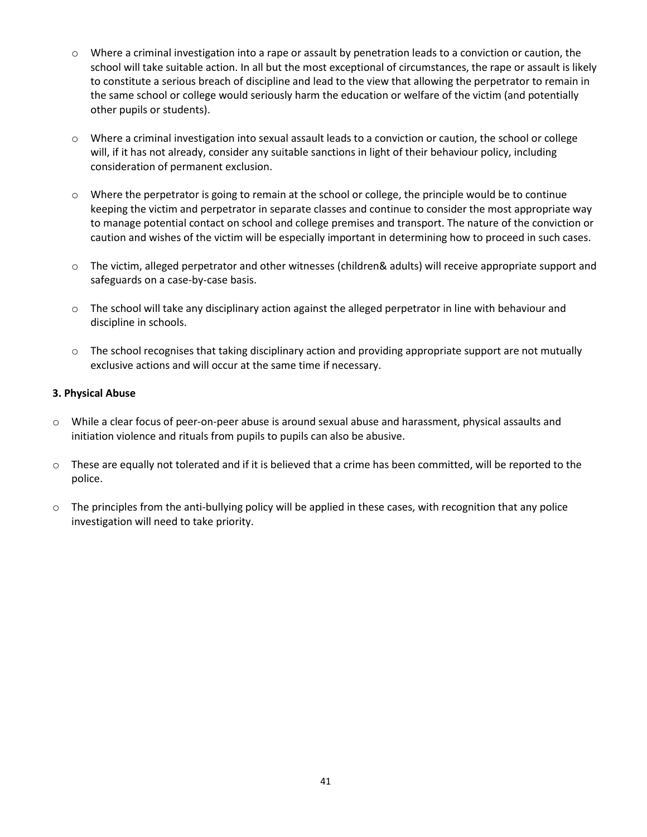- $\circ$  Where a criminal investigation into a rape or assault by penetration leads to a conviction or caution, the school will take suitable action. In all but the most exceptional of circumstances, the rape or assault is likely to constitute a serious breach of discipline and lead to the view that allowing the perpetrator to remain in the same school or college would seriously harm the education or welfare of the victim (and potentially other pupils or students).
- o Where a criminal investigation into sexual assault leads to a conviction or caution, the school or college will, if it has not already, consider any suitable sanctions in light of their behaviour policy, including consideration of permanent exclusion.
- $\circ$  Where the perpetrator is going to remain at the school or college, the principle would be to continue keeping the victim and perpetrator in separate classes and continue to consider the most appropriate way to manage potential contact on school and college premises and transport. The nature of the conviction or caution and wishes of the victim will be especially important in determining how to proceed in such cases.
- o The victim, alleged perpetrator and other witnesses (children& adults) will receive appropriate support and safeguards on a case-by-case basis.
- $\circ$  The school will take any disciplinary action against the alleged perpetrator in line with behaviour and discipline in schools.
- $\circ$  The school recognises that taking disciplinary action and providing appropriate support are not mutually exclusive actions and will occur at the same time if necessary.

#### **3. Physical Abuse**

- o While a clear focus of peer-on-peer abuse is around sexual abuse and harassment, physical assaults and initiation violence and rituals from pupils to pupils can also be abusive.
- o These are equally not tolerated and if it is believed that a crime has been committed, will be reported to the police.
- $\circ$  The principles from the anti-bullying policy will be applied in these cases, with recognition that any police investigation will need to take priority.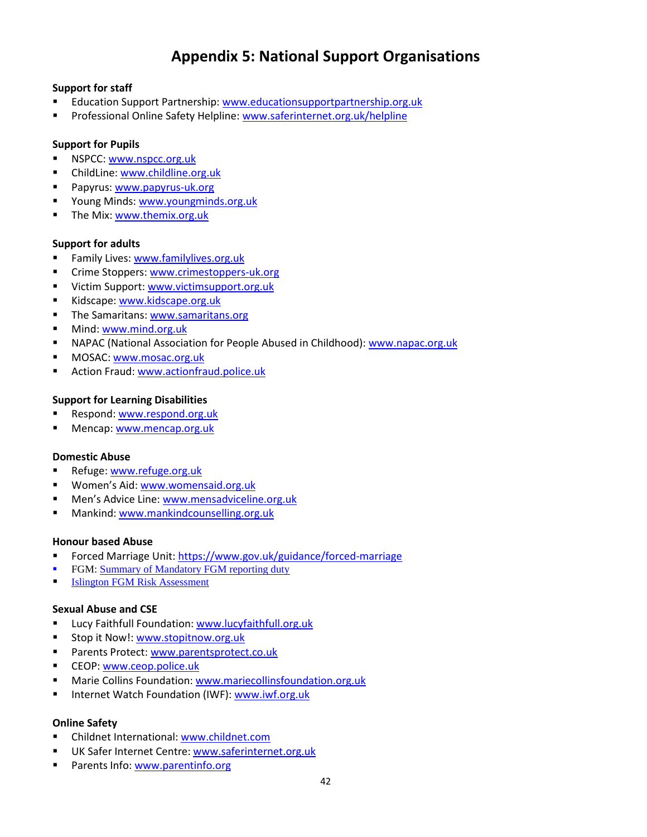# **Appendix 5: National Support Organisations**

### <span id="page-41-0"></span>**Support for staff**

- Education Support Partnership: [www.educationsupportpartnership.org.uk](http://www.educationsupportpartnership.org.uk/)
- Professional Online Safety Helpline: [www.saferinternet.org.uk/helpline](http://www.saferinternet.org.uk/helpline)

### **Support for Pupils**

- NSPCC[: www.nspcc.org.uk](http://www.nspcc.org.uk/)
- ChildLine: [www.childline.org.uk](http://www.childline.org.uk/)
- Papyrus[: www.papyrus-uk.org](http://www.papyrus-uk.org/)
- **F** Young Minds: [www.youngminds.org.uk](http://www.youngminds.org.uk/)
- The Mix: [www.themix.org.uk](http://www.themix.org.uk/)

#### **Support for adults**

- Family Lives[: www.familylives.org.uk](http://www.familylives.org.uk/)
- Crime Stoppers: [www.crimestoppers-uk.org](http://www.crimestoppers-uk.org/)
- Victim Support[: www.victimsupport.org.uk](http://www.victimsupport.org.uk/)
- Kidscape[: www.kidscape.org.uk](http://www.kidscape.org.uk/)
- The Samaritans: [www.samaritans.org](http://www.samaritans.org/)
- Mind[: www.mind.org.uk](http://www.mind.org.uk/)
- **NAPAC (National Association for People Abused in Childhood)[: www.napac.org.uk](http://www.napac.org.uk/)**
- MOSAC: [www.mosac.org.uk](http://www.mosac.org.uk/)
- Action Fraud: [www.actionfraud.police.uk](http://www.actionfraud.police.uk/)

#### **Support for Learning Disabilities**

- Respond: [www.respond.org.uk](http://www.respond.org.uk/)
- Mencap[: www.mencap.org.uk](http://www.mencap.org.uk/)

#### **Domestic Abuse**

- Refuge: [www.refuge.org.uk](http://www.refuge.org.uk/)
- Women's Aid: [www.womensaid.org.uk](http://www.womensaid.org.uk/)
- Men's Advice Line: [www.mensadviceline.org.uk](http://www.mensadviceline.org.uk/)
- Mankind[: www.mankindcounselling.org.uk](http://www.mankindcounselling.org.uk/)

#### **Honour based Abuse**

- Forced Marriage Unit[: https://www.gov.uk/guidance/forced-marriage](https://www.gov.uk/guidance/forced-marriage)
- FGM[: Summary of Mandatory FGM reporting duty](https://assets.publishing.service.gov.uk/government/uploads/system/uploads/attachment_data/file/496415/6_1639_HO_SP_FGM_mandatory_reporting_Fact_sheet_Web.pdf)
- **Example 1** [Islington FGM Risk Assessment](https://www.islingtoncs.org/sites/default/files/files/Islington%20FGM%20Booklet%20PRINT.pdf)

#### **Sexual Abuse and CSE**

- Lucy Faithfull Foundation: [www.lucyfaithfull.org.uk](http://www.lucyfaithfull.org.uk/)
- Stop it Now!: [www.stopitnow.org.uk](http://www.stopitnow.org.uk/)
- Parents Protect: [www.parentsprotect.co.uk](http://www.parentsprotect.co.uk/)
- CEOP: [www.ceop.police.uk](http://www.ceop.police.uk/)
- Marie Collins Foundation: [www.mariecollinsfoundation.org.uk](http://www.mariecollinsfoundation.org.uk/)
- Internet Watch Foundation (IWF)[: www.iwf.org.uk](http://www.iwf.org.uk/)

### **Online Safety**

- **E** Childnet International: [www.childnet.com](http://www.childnet.com/)
- UK Safer Internet Centre: [www.saferinternet.org.uk](http://www.saferinternet.org.uk/)
- Parents Info: [www.parentinfo.org](http://www.parentinfo.org/)